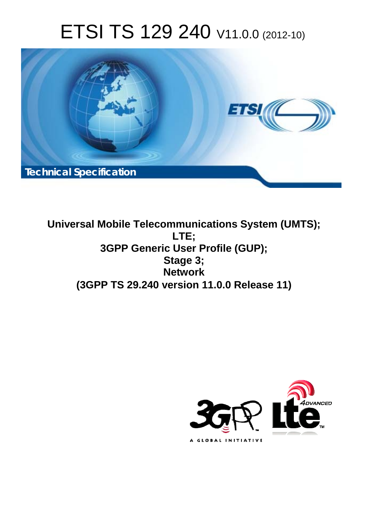# ETSI TS 129 240 V11.0.0 (2012-10)



**Universal Mobile Telecommunications System (UMTS); LTE; 3GPP Generic User Profile (GUP); Stage 3; Network (3GPP TS 29.240 version 11.0.0 Release 11)** 

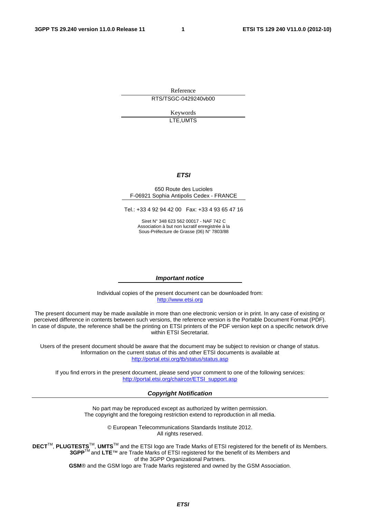Reference RTS/TSGC-0429240vb00

> Keywords LTE,UMTS

#### *ETSI*

#### 650 Route des Lucioles F-06921 Sophia Antipolis Cedex - FRANCE

Tel.: +33 4 92 94 42 00 Fax: +33 4 93 65 47 16

Siret N° 348 623 562 00017 - NAF 742 C Association à but non lucratif enregistrée à la Sous-Préfecture de Grasse (06) N° 7803/88

#### *Important notice*

Individual copies of the present document can be downloaded from: [http://www.etsi.org](http://www.etsi.org/)

The present document may be made available in more than one electronic version or in print. In any case of existing or perceived difference in contents between such versions, the reference version is the Portable Document Format (PDF). In case of dispute, the reference shall be the printing on ETSI printers of the PDF version kept on a specific network drive within ETSI Secretariat.

Users of the present document should be aware that the document may be subject to revision or change of status. Information on the current status of this and other ETSI documents is available at <http://portal.etsi.org/tb/status/status.asp>

If you find errors in the present document, please send your comment to one of the following services: [http://portal.etsi.org/chaircor/ETSI\\_support.asp](http://portal.etsi.org/chaircor/ETSI_support.asp)

#### *Copyright Notification*

No part may be reproduced except as authorized by written permission. The copyright and the foregoing restriction extend to reproduction in all media.

> © European Telecommunications Standards Institute 2012. All rights reserved.

DECT<sup>™</sup>, PLUGTESTS<sup>™</sup>, UMTS<sup>™</sup> and the ETSI logo are Trade Marks of ETSI registered for the benefit of its Members. **3GPP**TM and **LTE**™ are Trade Marks of ETSI registered for the benefit of its Members and of the 3GPP Organizational Partners.

**GSM**® and the GSM logo are Trade Marks registered and owned by the GSM Association.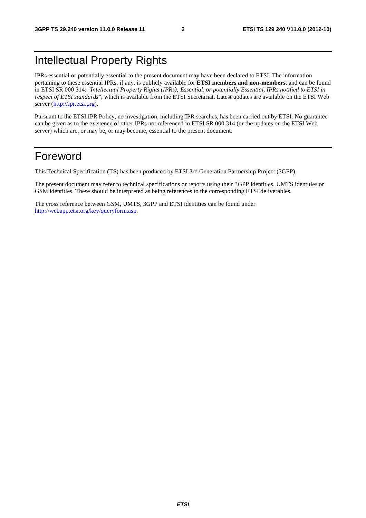## Intellectual Property Rights

IPRs essential or potentially essential to the present document may have been declared to ETSI. The information pertaining to these essential IPRs, if any, is publicly available for **ETSI members and non-members**, and can be found in ETSI SR 000 314: *"Intellectual Property Rights (IPRs); Essential, or potentially Essential, IPRs notified to ETSI in respect of ETSI standards"*, which is available from the ETSI Secretariat. Latest updates are available on the ETSI Web server [\(http://ipr.etsi.org](http://webapp.etsi.org/IPR/home.asp)).

Pursuant to the ETSI IPR Policy, no investigation, including IPR searches, has been carried out by ETSI. No guarantee can be given as to the existence of other IPRs not referenced in ETSI SR 000 314 (or the updates on the ETSI Web server) which are, or may be, or may become, essential to the present document.

## Foreword

This Technical Specification (TS) has been produced by ETSI 3rd Generation Partnership Project (3GPP).

The present document may refer to technical specifications or reports using their 3GPP identities, UMTS identities or GSM identities. These should be interpreted as being references to the corresponding ETSI deliverables.

The cross reference between GSM, UMTS, 3GPP and ETSI identities can be found under [http://webapp.etsi.org/key/queryform.asp.](http://webapp.etsi.org/key/queryform.asp)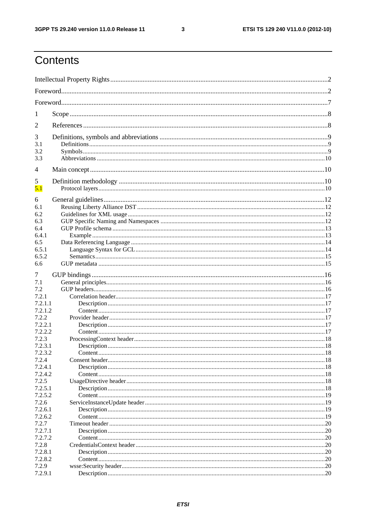$\mathbf{3}$ 

## Contents

| 1                  |  |     |  |
|--------------------|--|-----|--|
| 2                  |  |     |  |
| 3                  |  |     |  |
| 3.1                |  |     |  |
| 3.2                |  |     |  |
| 3.3                |  |     |  |
| 4                  |  |     |  |
| 5                  |  |     |  |
| 5.1                |  |     |  |
| 6                  |  |     |  |
| 6.1                |  |     |  |
| 6.2                |  |     |  |
| 6.3                |  |     |  |
| 6.4                |  |     |  |
| 6.4.1              |  |     |  |
| 6.5                |  |     |  |
| 6.5.1              |  |     |  |
| 6.5.2              |  |     |  |
| 6.6                |  |     |  |
| 7                  |  |     |  |
| 7.1                |  |     |  |
| 7.2                |  |     |  |
| 7.2.1              |  |     |  |
| 7.2.1.1            |  |     |  |
| 7.2.1.2            |  |     |  |
| 7.2.2              |  |     |  |
| 7.2.2.1            |  |     |  |
| 7.2.2.2            |  |     |  |
| 7.2.3              |  |     |  |
| 7.2.3.1            |  |     |  |
| 7.2.3.2            |  |     |  |
| 7.2.4              |  |     |  |
| 7.2.4.1<br>7.2.4.2 |  |     |  |
| 7.2.5              |  |     |  |
| 7.2.5.1            |  |     |  |
| 7.2.5.2            |  |     |  |
| 7.2.6              |  |     |  |
| 7.2.6.1            |  |     |  |
| 7.2.6.2            |  |     |  |
| 7.2.7              |  |     |  |
| 7.2.7.1            |  | 20  |  |
| 7.2.7.2            |  |     |  |
| 7.2.8              |  |     |  |
| 7.2.8.1            |  |     |  |
| 7.2.8.2            |  | 20  |  |
| 7.2.9              |  | .20 |  |
| 7.2.9.1            |  |     |  |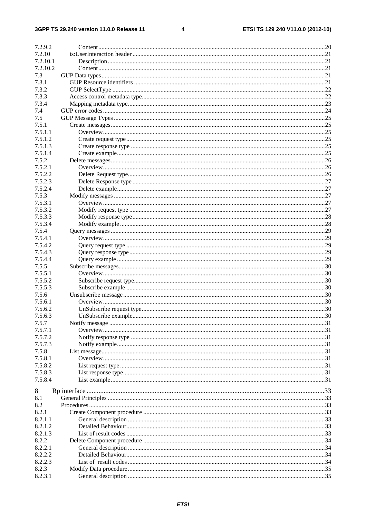#### $\overline{\mathbf{4}}$

| 7.2.9.2        |                      |     |
|----------------|----------------------|-----|
| 7.2.10         |                      |     |
| 7.2.10.1       |                      |     |
| 7.2.10.2       |                      |     |
|                |                      |     |
| 7.3            |                      |     |
| 7.3.1<br>7.3.2 |                      |     |
|                |                      |     |
| 7.3.3          |                      |     |
| 7.3.4          |                      |     |
| 7.4            |                      |     |
| 7.5            |                      |     |
| 7.5.1          |                      |     |
| 7.5.1.1        |                      |     |
| 7.5.1.2        |                      |     |
| 7.5.1.3        |                      |     |
| 7.5.1.4        |                      |     |
| 7.5.2          |                      |     |
| 7.5.2.1        |                      |     |
| 7.5.2.2        |                      |     |
| 7.5.2.3        |                      |     |
| 7.5.2.4        |                      |     |
| 7.5.3          |                      |     |
| 7.5.3.1        |                      |     |
| 7.5.3.2        |                      |     |
| 7.5.3.3        |                      |     |
| 7.5.3.4        |                      |     |
| 7.5.4          |                      |     |
| 7.5.4.1        |                      |     |
| 7.5.4.2        |                      |     |
| 7.5.4.3        |                      |     |
| 7.5.4.4        |                      |     |
| 7.5.5          |                      |     |
| 7.5.5.1        |                      |     |
| 7.5.5.2        |                      |     |
| 7.5.5.3        |                      |     |
| 7.5.6          |                      |     |
| 7.5.6.1        |                      |     |
| 7.5.6.2        |                      |     |
| 7.5.6.3        | UnSubscribe example. | .30 |
| 7.5.7          |                      |     |
| 7.5.7.1        |                      |     |
| 7.5.7.2        |                      |     |
| 7.5.7.3        |                      |     |
| 7.5.8          |                      |     |
| 7.5.8.1        |                      |     |
| 7.5.8.2        |                      |     |
| 7.5.8.3        |                      |     |
| 7.5.8.4        |                      |     |
|                |                      |     |
| 8              |                      |     |
| 8.1            |                      |     |
| 8.2            |                      |     |
| 8.2.1          |                      |     |
| 8.2.1.1        |                      |     |
| 8.2.1.2        |                      |     |
| 8.2.1.3        |                      |     |
| 8.2.2          |                      |     |
| 8.2.2.1        |                      |     |
| 8.2.2.2        |                      |     |
| 8.2.2.3        |                      |     |
| 8.2.3          |                      |     |
| 8.2.3.1        |                      |     |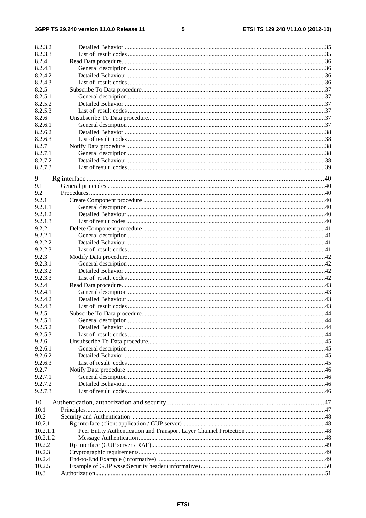#### $5\phantom{a}$

| 8.2.3.2  |  |
|----------|--|
| 8.2.3.3  |  |
| 8.2.4    |  |
| 8.2.4.1  |  |
| 8.2.4.2  |  |
| 8.2.4.3  |  |
| 8.2.5    |  |
| 8.2.5.1  |  |
| 8.2.5.2  |  |
| 8.2.5.3  |  |
| 8.2.6    |  |
| 8.2.6.1  |  |
| 8.2.6.2  |  |
| 8.2.6.3  |  |
| 8.2.7    |  |
| 8.2.7.1  |  |
| 8.2.7.2  |  |
| 8.2.7.3  |  |
|          |  |
| 9        |  |
| 9.1      |  |
| 9.2      |  |
| 9.2.1    |  |
| 9.2.1.1  |  |
| 9.2.1.2  |  |
| 9.2.1.3  |  |
| 9.2.2    |  |
| 9.2.2.1  |  |
| 9.2.2.2  |  |
| 9.2.2.3  |  |
| 9.2.3    |  |
| 9.2.3.1  |  |
| 9.2.3.2  |  |
| 9.2.3.3  |  |
| 9.2.4    |  |
| 9.2.4.1  |  |
| 9.2.4.2  |  |
| 9.2.4.3  |  |
| 9.2.5    |  |
| 9.2.5.1  |  |
| 9.2.5.2  |  |
| 9.2.5.3  |  |
| 9.2.6    |  |
| 9.2.6.1  |  |
| 9.2.6.2  |  |
| 9.2.6.3  |  |
| 9.2.7    |  |
| 9.2.7.1  |  |
| 9.2.7.2  |  |
| 9.2.7.3  |  |
|          |  |
| 10       |  |
| 10.1     |  |
| 10.2     |  |
| 10.2.1   |  |
| 10.2.1.1 |  |
| 10.2.1.2 |  |
| 10.2.2   |  |
| 10.2.3   |  |
| 10.2.4   |  |
| 10.2.5   |  |
| 10.3     |  |
|          |  |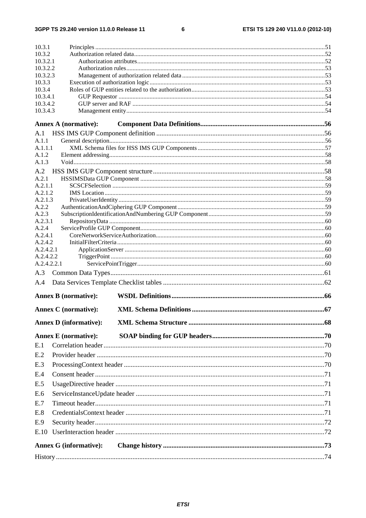$\bf 6$ 

| 10.3.1               |                               |  |
|----------------------|-------------------------------|--|
| 10.3.2<br>10.3.2.1   |                               |  |
| 10.3.2.2             |                               |  |
| 10.3.2.3             |                               |  |
| 10.3.3               |                               |  |
| 10.3.4               |                               |  |
| 10.3.4.1<br>10.3.4.2 |                               |  |
| 10.3.4.3             |                               |  |
|                      | <b>Annex A (normative):</b>   |  |
| A.1                  |                               |  |
| A.1.1                |                               |  |
| A.1.1.1              |                               |  |
| A.1.2<br>A.1.3       |                               |  |
| A.2                  |                               |  |
| A.2.1                |                               |  |
| A.2.1.1              |                               |  |
| A.2.1.2              |                               |  |
| A.2.1.3              |                               |  |
| A.2.2<br>A.2.3       |                               |  |
| A.2.3.1              |                               |  |
| A.2.4                |                               |  |
| A.2.4.1              |                               |  |
| A.2.4.2<br>A.2.4.2.1 |                               |  |
| A.2.4.2.2            |                               |  |
| A.2.4.2.2.1          |                               |  |
| A.3                  |                               |  |
| A.4                  |                               |  |
|                      | <b>Annex B</b> (normative):   |  |
|                      | <b>Annex C</b> (normative):   |  |
|                      | <b>Annex D</b> (informative): |  |
|                      | <b>Annex E</b> (normative):   |  |
| E.1                  |                               |  |
| E.2                  |                               |  |
| E.3                  |                               |  |
| E.4                  |                               |  |
| E.5                  |                               |  |
| E.6                  |                               |  |
| E.7                  |                               |  |
| E.8                  |                               |  |
| E.9                  |                               |  |
| E.10                 |                               |  |
|                      | <b>Annex G (informative):</b> |  |
|                      |                               |  |
|                      |                               |  |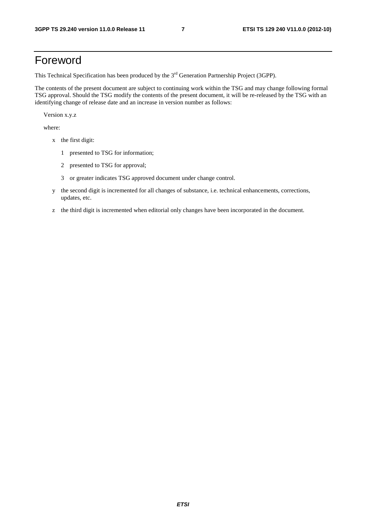## Foreword

This Technical Specification has been produced by the 3<sup>rd</sup> Generation Partnership Project (3GPP).

The contents of the present document are subject to continuing work within the TSG and may change following formal TSG approval. Should the TSG modify the contents of the present document, it will be re-released by the TSG with an identifying change of release date and an increase in version number as follows:

Version x.y.z

where:

- x the first digit:
	- 1 presented to TSG for information;
	- 2 presented to TSG for approval;
	- 3 or greater indicates TSG approved document under change control.
- y the second digit is incremented for all changes of substance, i.e. technical enhancements, corrections, updates, etc.
- z the third digit is incremented when editorial only changes have been incorporated in the document.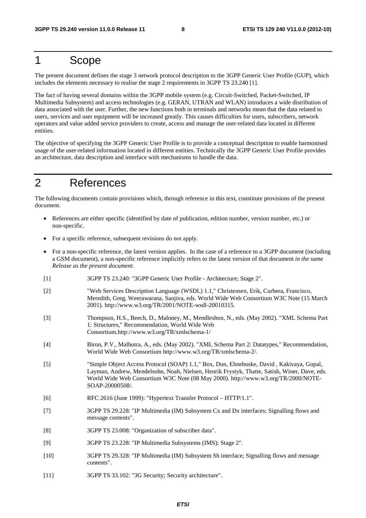## 1 Scope

The present document defines the stage 3 network protocol description to the 3GPP Generic User Profile (GUP), which includes the elements necessary to realise the stage 2 requirements in 3GPP TS 23.240 [1].

The fact of having several domains within the 3GPP mobile system (e.g. Circuit-Switched, Packet-Switched, IP Multimedia Subsystem) and access technologies (e.g. GERAN, UTRAN and WLAN) introduces a wide distribution of data associated with the user. Further, the new functions both in terminals and networks mean that the data related to users, services and user equipment will be increased greatly. This causes difficulties for users, subscribers, network operators and value added service providers to create, access and manage the user-related data located in different entities.

The objective of specifying the 3GPP Generic User Profile is to provide a conceptual description to enable harmonised usage of the user-related information located in different entities. Technically the 3GPP Generic User Profile provides an architecture, data description and interface with mechanisms to handle the data.

## 2 References

The following documents contain provisions which, through reference in this text, constitute provisions of the present document.

- References are either specific (identified by date of publication, edition number, version number, etc.) or non-specific.
- For a specific reference, subsequent revisions do not apply.
- For a non-specific reference, the latest version applies. In the case of a reference to a 3GPP document (including a GSM document), a non-specific reference implicitly refers to the latest version of that document *in the same Release as the present document*.
- [1] 3GPP TS 23.240: "3GPP Generic User Profile Architecture; Stage 2".
- [2] "Web Services Description Language (WSDL) 1.1," Christensen, Erik, Curbera, Francisco, Meredith, Greg, Weerawarana, Sanjiva, eds. World Wide Web Consortium W3C Note (15 March 2001). http://www.w3.org/TR/2001/NOTE-wsdl-20010315.
- [3] Thompson, H.S., Beech, D., Maloney, M., Mendleshon, N., eds. (May 2002). "XML Schema Part 1: Structures," Recommendation, World Wide Web Consortium.http://www.w3.org/TR/xmlschema-1/
- [4] Biron, P.V., Malhotra, A., eds. (May 2002). "XML Schema Part 2: Datatypes," Recommendation, World Wide Web Consortium http://www.w3.org/TR/xmlschema-2/.
- [5] "Simple Object Access Protocol (SOAP) 1.1," Box, Don, Ehnebuske, David , Kakivaya, Gopal, Layman, Andrew, Mendelsohn, Noah, Nielsen, Henrik Frystyk, Thatte, Satish, Winer, Dave, eds. World Wide Web Consortium W3C Note (08 May 2000). http://www.w3.org/TR/2000/NOTE-SOAP-20000508/.
- [6] RFC 2616 (June 1999): "Hypertext Transfer Protocol HTTP/1.1".
- [7] 3GPP TS 29.228: "IP Multimedia (IM) Subsystem Cx and Dx interfaces; Signalling flows and message contents".
- [8] 3GPP TS 23.008: "Organization of subscriber data".
- [9] 3GPP TS 23.228: "IP Multimedia Subsystems (IMS); Stage 2".
- [10] 3GPP TS 29.328: "IP Multimedia (IM) Subsystem Sh interface; Signalling flows and message contents".
- [11] 3GPP TS 33.102: "3G Security; Security architecture".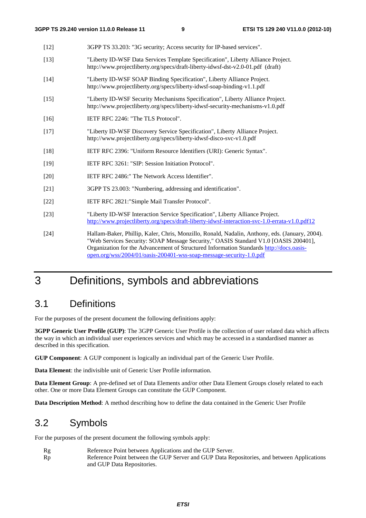| $[12]$ | 3GPP TS 33.203: "3G security; Access security for IP-based services".                                                                                                                                                                                                           |
|--------|---------------------------------------------------------------------------------------------------------------------------------------------------------------------------------------------------------------------------------------------------------------------------------|
| $[13]$ | "Liberty ID-WSF Data Services Template Specification", Liberty Alliance Project.<br>http://www.projectliberty.org/specs/draft-liberty-idwsf-dst-v2.0-01.pdf (draft)                                                                                                             |
| $[14]$ | "Liberty ID-WSF SOAP Binding Specification", Liberty Alliance Project.<br>http://www.projectliberty.org/specs/liberty-idwsf-soap-binding-v1.1.pdf                                                                                                                               |
| $[15]$ | "Liberty ID-WSF Security Mechanisms Specification", Liberty Alliance Project.<br>http://www.projectliberty.org/specs/liberty-idwsf-security-mechanisms-v1.0.pdf                                                                                                                 |
| $[16]$ | IETF RFC 2246: "The TLS Protocol".                                                                                                                                                                                                                                              |
| $[17]$ | "Liberty ID-WSF Discovery Service Specification", Liberty Alliance Project.<br>http://www.projectliberty.org/specs/liberty-idwsf-disco-svc-v1.0.pdf                                                                                                                             |
| $[18]$ | IETF RFC 2396: "Uniform Resource Identifiers (URI): Generic Syntax".                                                                                                                                                                                                            |
| $[19]$ | IETF RFC 3261: "SIP: Session Initiation Protocol".                                                                                                                                                                                                                              |
| $[20]$ | IETF RFC 2486:" The Network Access Identifier".                                                                                                                                                                                                                                 |
| $[21]$ | 3GPP TS 23.003: "Numbering, addressing and identification".                                                                                                                                                                                                                     |
| $[22]$ | IETF RFC 2821:"Simple Mail Transfer Protocol".                                                                                                                                                                                                                                  |
| $[23]$ | "Liberty ID-WSF Interaction Service Specification", Liberty Alliance Project.<br>http://www.projectliberty.org/specs/draft-liberty-idwsf-interaction-svc-1.0-errata-v1.0.pdf12                                                                                                  |
| $[24]$ | Hallam-Baker, Phillip, Kaler, Chris, Monzillo, Ronald, Nadalin, Anthony, eds. (January, 2004).<br>"Web Services Security: SOAP Message Security," OASIS Standard V1.0 [OASIS 200401],<br>Organization for the Advancement of Ctructured Information Standards http://doos.com/s |

"Web Services Security: SOAP Message Security," OASIS Standard V1.0 [OASIS 200401], Organization for the Advancement of Structured Information Standards [http://docs.oasis](http://docs.oasis-open.org/wss/2004/01/oasis-200401-wss-soap-message-security-1.0.pdf)[open.org/wss/2004/01/oasis-200401-wss-soap-message-security-1.0.pdf](http://docs.oasis-open.org/wss/2004/01/oasis-200401-wss-soap-message-security-1.0.pdf)

## 3 Definitions, symbols and abbreviations

## 3.1 Definitions

For the purposes of the present document the following definitions apply:

**3GPP Generic User Profile (GUP)**: The 3GPP Generic User Profile is the collection of user related data which affects the way in which an individual user experiences services and which may be accessed in a standardised manner as described in this specification.

**GUP Component**: A GUP component is logically an individual part of the Generic User Profile.

**Data Element**: the indivisible unit of Generic User Profile information.

**Data Element Group**: A pre-defined set of Data Elements and/or other Data Element Groups closely related to each other. One or more Data Element Groups can constitute the GUP Component.

**Data Description Method**: A method describing how to define the data contained in the Generic User Profile

## 3.2 Symbols

For the purposes of the present document the following symbols apply:

Rg Reference Point between Applications and the GUP Server. Rp Reference Point between the GUP Server and GUP Data Repositories, and between Applications and GUP Data Repositories.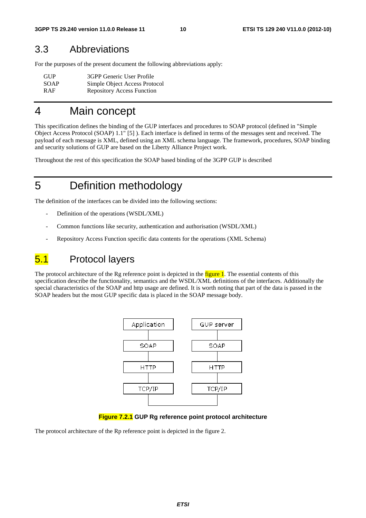## 3.3 Abbreviations

For the purposes of the present document the following abbreviations apply:

| GUP         | 3GPP Generic User Profile         |
|-------------|-----------------------------------|
| <b>SOAP</b> | Simple Object Access Protocol     |
| <b>RAF</b>  | <b>Repository Access Function</b> |

## 4 Main concept

This specification defines the binding of the GUP interfaces and procedures to SOAP protocol (defined in "Simple Object Access Protocol (SOAP) 1.1" [5] ). Each interface is defined in terms of the messages sent and received. The payload of each message is XML, defined using an XML schema language. The framework, procedures, SOAP binding and security solutions of GUP are based on the Liberty Alliance Project work.

Throughout the rest of this specification the SOAP based binding of the 3GPP GUP is described

## 5 Definition methodology

The definition of the interfaces can be divided into the following sections:

- Definition of the operations (WSDL/XML)
- Common functions like security, authentication and authorisation (WSDL/XML)
- Repository Access Function specific data contents for the operations (XML Schema)

## 5.1 Protocol layers

The protocol architecture of the Rg reference point is depicted in the figure 1. The essential contents of this specification describe the functionality, semantics and the WSDL/XML definitions of the interfaces. Additionally the special characteristics of the SOAP and http usage are defined. It is worth noting that part of the data is passed in the SOAP headers but the most GUP specific data is placed in the SOAP message body.



#### **Figure 7.2.1 GUP Rg reference point protocol architecture**

The protocol architecture of the Rp reference point is depicted in the figure 2.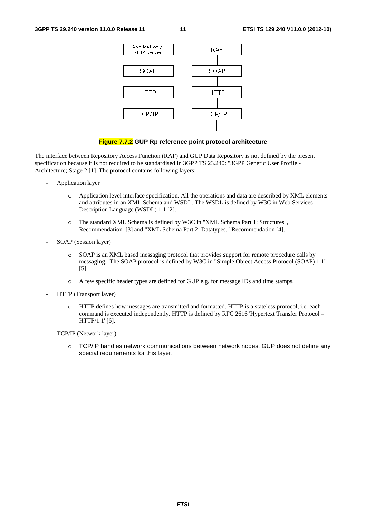

#### **Figure 7.7.2 GUP Rp reference point protocol architecture**

The interface between Repository Access Function (RAF) and GUP Data Repository is not defined by the present specification because it is not required to be standardised in 3GPP TS 23.240: "3GPP Generic User Profile - Architecture; Stage 2 [1] The protocol contains following layers:

- Application layer
	- o Application level interface specification. All the operations and data are described by XML elements and attributes in an XML Schema and WSDL. The WSDL is defined by W3C in Web Services Description Language (WSDL) 1.1 [2].
	- o The standard XML Schema is defined by W3C in "XML Schema Part 1: Structures", Recommendation [3] and "XML Schema Part 2: Datatypes," Recommendation [4].
- SOAP (Session layer)
	- o SOAP is an XML based messaging protocol that provides support for remote procedure calls by messaging. The SOAP protocol is defined by W3C in "Simple Object Access Protocol (SOAP) 1.1" [5].
	- o A few specific header types are defined for GUP e.g. for message IDs and time stamps.
- HTTP (Transport layer)
	- o HTTP defines how messages are transmitted and formatted. HTTP is a stateless protocol, i.e. each command is executed independently. HTTP is defined by RFC 2616 'Hypertext Transfer Protocol – HTTP/1.1' [6].
- TCP/IP (Network layer)
	- o TCP/IP handles network communications between network nodes. GUP does not define any special requirements for this layer.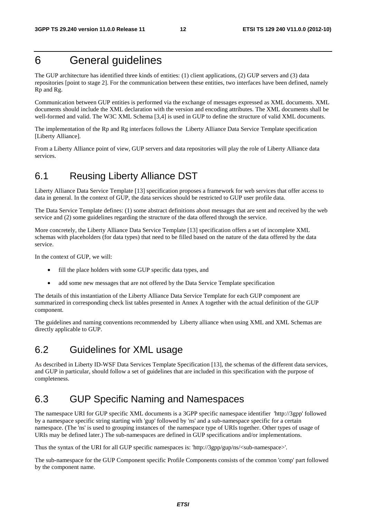## 6 General guidelines

The GUP architecture has identified three kinds of entities: (1) client applications, (2) GUP servers and (3) data repositories [point to stage 2]. For the communication between these entities, two interfaces have been defined, namely Rp and Rg.

Communication between GUP entities is performed via the exchange of messages expressed as XML documents. XML documents should include the XML declaration with the version and encoding attributes. The XML documents shall be well-formed and valid. The W3C XML Schema [3,4] is used in GUP to define the structure of valid XML documents.

The implementation of the Rp and Rg interfaces follows the Liberty Alliance Data Service Template specification [Liberty Alliance].

From a Liberty Alliance point of view, GUP servers and data repositories will play the role of Liberty Alliance data services.

## 6.1 Reusing Liberty Alliance DST

Liberty Alliance Data Service Template [13] specification proposes a framework for web services that offer access to data in general. In the context of GUP, the data services should be restricted to GUP user profile data.

The Data Service Template defines: (1) some abstract definitions about messages that are sent and received by the web service and (2) some guidelines regarding the structure of the data offered through the service.

More concretely, the Liberty Alliance Data Service Template [13] specification offers a set of incomplete XML schemas with placeholders (for data types) that need to be filled based on the nature of the data offered by the data service.

In the context of GUP, we will:

- fill the place holders with some GUP specific data types, and
- add some new messages that are not offered by the Data Service Template specification

The details of this instantiation of the Liberty Alliance Data Service Template for each GUP component are summarized in corresponding check list tables presented in Annex A together with the actual definition of the GUP component.

The guidelines and naming conventions recommended by Liberty alliance when using XML and XML Schemas are directly applicable to GUP.

## 6.2 Guidelines for XML usage

As described in Liberty ID-WSF Data Services Template Specification [13], the schemas of the different data services, and GUP in particular, should follow a set of guidelines that are included in this specification with the purpose of completeness.

## 6.3 GUP Specific Naming and Namespaces

The namespace URI for GUP specific XML documents is a 3GPP specific namespace identifier 'http://3gpp' followed by a namespace specific string starting with 'gup' followed by 'ns' and a sub-namespace specific for a certain namespace. (The 'ns' is used to grouping instances of the namespace type of URIs together. Other types of usage of URIs may be defined later.) The sub-namespaces are defined in GUP specifications and/or implementations.

Thus the syntax of the URI for all GUP specific namespaces is: 'http://3gpp/gup/ns/<sub-namespace>'.

The sub-namespace for the GUP Component specific Profile Components consists of the common 'comp' part followed by the component name.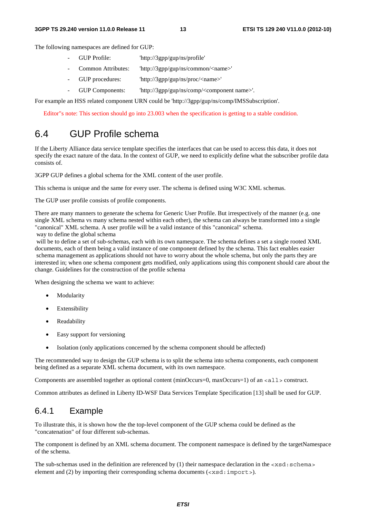The following namespaces are defined for GUP:

- GUP Profile: 'http://3gpp/gup/ns/profile'
- Common Attributes: 'http://3gpp/gup/ns/common/<name>'
- GUP procedures: 'http://3gpp/gup/ns/proc/<name>'
- GUP Components: http://3gpp/gup/ns/comp/<component name>'.

For example an HSS related component URN could be 'http://3gpp/gup/ns/comp/IMSSubscription'.

Editor"s note: This section should go into 23.003 when the specification is getting to a stable condition.

## 6.4 GUP Profile schema

If the Liberty Alliance data service template specifies the interfaces that can be used to access this data, it does not specify the exact nature of the data. In the context of GUP, we need to explicitly define what the subscriber profile data consists of.

3GPP GUP defines a global schema for the XML content of the user profile.

This schema is unique and the same for every user. The schema is defined using W3C XML schemas.

The GUP user profile consists of profile components.

There are many manners to generate the schema for Generic User Profile. But irrespectively of the manner (e.g. one single XML schema vs many schema nested within each other), the schema can always be transformed into a single "canonical" XML schema. A user profile will be a valid instance of this "canonical" schema.

way to define the global schema

will be to define a set of sub-schemas, each with its own namespace. The schema defines a set a single rooted XML documents, each of them being a valid instance of one component defined by the schema. This fact enables easier schema management as applications should not have to worry about the whole schema, but only the parts they are interested in; when one schema component gets modified, only applications using this component should care about the change. Guidelines for the construction of the profile schema

When designing the schema we want to achieve:

- Modularity
- Extensibility
- Readability
- Easy support for versioning
- Isolation (only applications concerned by the schema component should be affected)

The recommended way to design the GUP schema is to split the schema into schema components, each component being defined as a separate XML schema document, with its own namespace.

Components are assembled together as optional content (minOccurs=0, maxOccurs=1) of an <all> construct.

Common attributes as defined in Liberty ID-WSF Data Services Template Specification [13] shall be used for GUP.

## 6.4.1 Example

To illustrate this, it is shown how the the top-level component of the GUP schema could be defined as the "concatenation" of four different sub-schemas.

The component is defined by an XML schema document. The component namespace is defined by the targetNamespace of the schema.

The sub-schemas used in the definition are referenced by  $(1)$  their namespace declaration in the  $\langle x \rangle$  schemas element and (2) by importing their corresponding schema documents (<xsd:import>).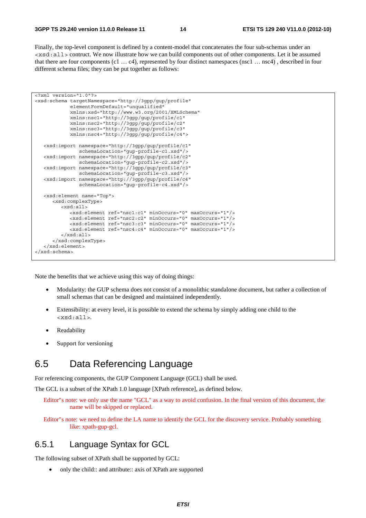Finally, the top-level component is defined by a content-model that concatenates the four sub-schemas under an <xsd:all> contruct. We now illustrate how we can build components out of other components. Let it be assumed that there are four components (c1 … c4), represented by four distinct namespaces (nsc1 … nsc4) , described in four different schema files; they can be put together as follows:

```
<?xml version="1.0"?> 
<xsd:schema targetNamespace="http://3gpp/gup/profile" 
             elementFormDefault="unqualified" 
             xmlns:xsd="http://www.w3.org/2001/XMLSchema" 
             xmlns:nsc1="http://3gpp/gup/profile/c1" 
             xmlns:nsc2="http://3gpp/gup/profile/c2" 
             xmlns:nsc3="http://3gpp/gup/profile/c3" 
             xmlns:nsc4="http://3gpp/gup/profile/c4"> 
    <xsd:import namespace="http://3gpp/gup/profile/c1" 
                 schemaLocation="gup-profile-c1.xsd"/> 
    <xsd:import namespace="http://3gpp/gup/profile/c2" 
                schemaLocation="gup-profile-c2.xsd"/> 
    <xsd:import namespace="http://3gpp/gup/profile/c3" 
                schemaLocation="gup-profile-c3.xsd"/> 
    <xsd:import namespace="http://3gpp/gup/profile/c4" 
                schemaLocation="gup-profile-c4.xsd"/>
    <xsd:element name="Top"> 
       <xsd:complexType> 
          <xsd:all> 
             <xsd:element ref="nsc1:c1" minOccurs="0" maxOccurs="1"/> 
             <xsd:element ref="nsc2:c2" minOccurs="0" maxOccurs="1"/> 
             <xsd:element ref="nsc3:c3" minOccurs="0" maxOccurs="1"/> 
             <xsd:element ref="nsc4:c4" minOccurs="0" maxOccurs="1"/> 
          </xsd:all> 
       </xsd:complexType> 
    </xsd:element>
</xsd:schema>
```
Note the benefits that we achieve using this way of doing things:

- Modularity: the GUP schema does not consist of a monolithic standalone document, but rather a collection of small schemas that can be designed and maintained independently.
- Extensibility: at every level, it is possible to extend the schema by simply adding one child to the <xsd:all>.
- Readability
- Support for versioning

## 6.5 Data Referencing Language

For referencing components, the GUP Component Language (GCL) shall be used.

The GCL is a subset of the XPath 1.0 language [XPath reference], as defined below.

Editor"s note: we only use the name "GCL" as a way to avoid confusion. In the final version of this document, the name will be skipped or replaced.

Editor"s note: we need to define the LA name to identify the GCL for the discovery service. Probably something like: xpath-gup-gcl.

## 6.5.1 Language Syntax for GCL

The following subset of XPath shall be supported by GCL:

• only the child:: and attribute:: axis of XPath are supported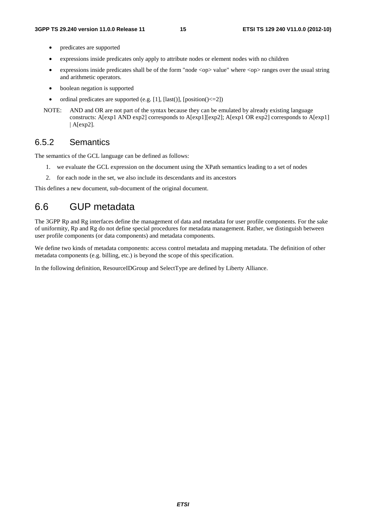- predicates are supported
- expressions inside predicates only apply to attribute nodes or element nodes with no children
- expressions inside predicates shall be of the form "node <op> value" where <op> ranges over the usual string and arithmetic operators.
- boolean negation is supported
- ordinal predicates are supported (e.g. [1], [last()], [position() $\leq$ =2])
- NOTE: AND and OR are not part of the syntax because they can be emulated by already existing language constructs: A[exp1 AND exp2] corresponds to A[exp1][exp2]; A[exp1 OR exp2] corresponds to A[exp1] | A[exp2].

## 6.5.2 Semantics

The semantics of the GCL language can be defined as follows:

- 1. we evaluate the GCL expression on the document using the XPath semantics leading to a set of nodes
- 2. for each node in the set, we also include its descendants and its ancestors

This defines a new document, sub-document of the original document.

## 6.6 GUP metadata

The 3GPP Rp and Rg interfaces define the management of data and metadata for user profile components. For the sake of uniformity, Rp and Rg do not define special procedures for metadata management. Rather, we distinguish between user profile components (or data components) and metadata components.

We define two kinds of metadata components: access control metadata and mapping metadata. The definition of other metadata components (e.g. billing, etc.) is beyond the scope of this specification.

In the following definition, ResourceIDGroup and SelectType are defined by Liberty Alliance.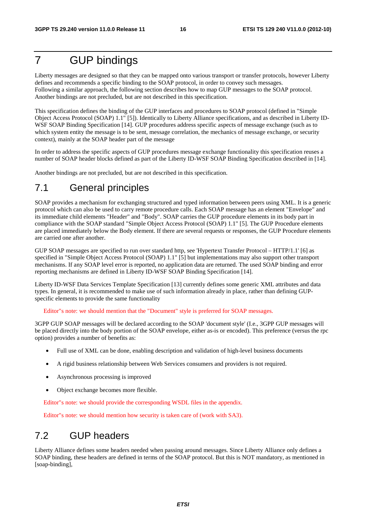## 7 GUP bindings

Liberty messages are designed so that they can be mapped onto various transport or transfer protocols, however Liberty defines and recommends a specific binding to the SOAP protocol, in order to convey such messages. Following a similar approach, the following section describes how to map GUP messages to the SOAP protocol. Another bindings are not precluded, but are not described in this specification.

This specification defines the binding of the GUP interfaces and procedures to SOAP protocol (defined in "Simple Object Access Protocol (SOAP) 1.1" [5]). Identically to Liberty Alliance specifications, and as described in Liberty ID-WSF SOAP Binding Specification [14]. GUP procedures address specific aspects of message exchange (such as to which system entity the message is to be sent, message correlation, the mechanics of message exchange, or security context), mainly at the SOAP header part of the message

In order to address the specific aspects of GUP procedures message exchange functionality this specification reuses a number of SOAP header blocks defined as part of the Liberty ID-WSF SOAP Binding Specification described in [14].

Another bindings are not precluded, but are not described in this specification.

## 7.1 General principles

SOAP provides a mechanism for exchanging structured and typed information between peers using XML. It is a generic protocol which can also be used to carry remote procedure calls. Each SOAP message has an element "Envelope" and its immediate child elements "Header" and "Body". SOAP carries the GUP procedure elements in its body part in compliance with the SOAP standard "Simple Object Access Protocol (SOAP) 1.1" [5]. The GUP Procedure elements are placed immediately below the Body element. If there are several requests or responses, the GUP Procedure elements are carried one after another.

GUP SOAP messages are specified to run over standard http, see 'Hypertext Transfer Protocol – HTTP/1.1' [6] as specified in "Simple Object Access Protocol (SOAP) 1.1" [5] but implementations may also support other transport mechanisms. If any SOAP level error is reported, no application data are returned. The used SOAP binding and error reporting mechanisms are defined in Liberty ID-WSF SOAP Binding Specification [14].

Liberty ID-WSF Data Services Template Specification [13] currently defines some generic XML attributes and data types. In general, it is recommended to make use of such information already in place, rather than defining GUPspecific elements to provide the same functionality

Editor"s note: we should mention that the "Document" style is preferred for SOAP messages.

3GPP GUP SOAP messages will be declared according to the SOAP 'document style' (I.e., 3GPP GUP messages will be placed directly into the body portion of the SOAP envelope, either as-is or encoded). This preference (versus the rpc option) provides a number of benefits as:

- Full use of XML can be done, enabling description and validation of high-level business documents
- A rigid business relationship between Web Services consumers and providers is not required.
- Asynchronous processing is improved
- Object exchange becomes more flexible.

Editor"s note: we should provide the corresponding WSDL files in the appendix.

Editor"s note: we should mention how security is taken care of (work with SA3).

## 7.2 GUP headers

Liberty Alliance defines some headers needed when passing around messages. Since Liberty Alliance only defines a SOAP binding, these headers are defined in terms of the SOAP protocol. But this is NOT mandatory, as mentioned in [soap-binding],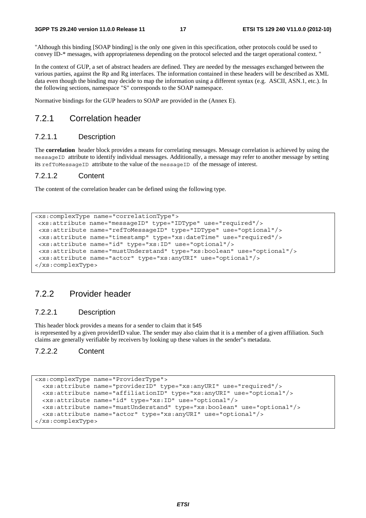"Although this binding [SOAP binding] is the only one given in this specification, other protocols could be used to convey ID-\* messages, with appropriateness depending on the protocol selected and the target operational context. "

In the context of GUP, a set of abstract headers are defined. They are needed by the messages exchanged between the various parties, against the Rp and Rg interfaces. The information contained in these headers will be described as XML data even though the binding may decide to map the information using a different syntax (e.g. ASCII, ASN.1, etc.). In the following sections, namespace "S" corresponds to the SOAP namespace.

Normative bindings for the GUP headers to SOAP are provided in the (Annex E).

## 7.2.1 Correlation header

### 7.2.1.1 Description

The **correlation** header block provides a means for correlating messages. Message correlation is achieved by using the messageID attribute to identify individual messages. Additionally, a message may refer to another message by setting its refToMessageID attribute to the value of the messageID of the message of interest.

#### 7.2.1.2 Content

The content of the correlation header can be defined using the following type.

```
<xs:complexType name="correlationType">
 <xs:attribute name="messageID" type="IDType" use="required"/> 
 <xs:attribute name="refToMessageID" type="IDType" use="optional"/> 
 <xs:attribute name="timestamp" type="xs:dateTime" use="required"/> 
 <xs:attribute name="id" type="xs:ID" use="optional"/> 
 <xs:attribute name="mustUnderstand" type="xs:boolean" use="optional"/> 
 <xs:attribute name="actor" type="xs:anyURI" use="optional"/> 
</xs:complexType>
```
## 7.2.2 Provider header

### 7.2.2.1 Description

This header block provides a means for a sender to claim that it 545 is represented by a given providerID value. The sender may also claim that it is a member of a given affiliation. Such claims are generally verifiable by receivers by looking up these values in the sender"s metadata.

### 7.2.2.2 Content

```
<xs:complexType name="ProviderType"> 
  <xs:attribute name="providerID" type="xs:anyURI" use="required"/> 
  <xs:attribute name="affiliationID" type="xs:anyURI" use="optional"/> 
  <xs:attribute name="id" type="xs:ID" use="optional"/> 
  <xs:attribute name="mustUnderstand" type="xs:boolean" use="optional"/> 
   <xs:attribute name="actor" type="xs:anyURI" use="optional"/> 
</xs:complexType>
```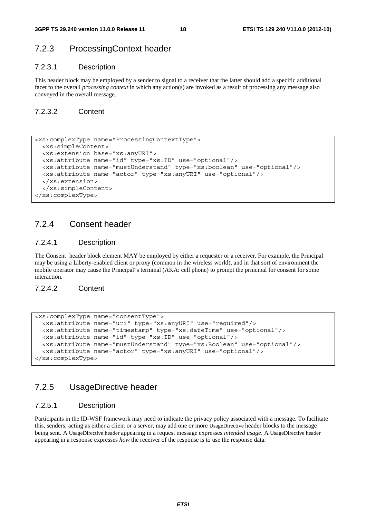## 7.2.3 ProcessingContext header

### 7.2.3.1 Description

This header block may be employed by a sender to signal to a receiver that the latter should add a specific additional facet to the overall *processing context* in which any action(s) are invoked as a result of processing any message also conveyed in the overall message.

### 7.2.3.2 Content

```
<xs:complexType name="ProcessingContextType"> 
   <xs:simpleContent> 
   <xs:extension base="xs:anyURI"> 
   <xs:attribute name="id" type="xs:ID" use="optional"/> 
   <xs:attribute name="mustUnderstand" type="xs:boolean" use="optional"/> 
   <xs:attribute name="actor" type="xs:anyURI" use="optional"/> 
   </xs:extension> 
   </xs:simpleContent> 
</xs:complexType>
```
## 7.2.4 Consent header

### 7.2.4.1 Description

The Consent header block element MAY be employed by either a requester or a receiver. For example, the Principal may be using a Liberty-enabled client or proxy (common in the wireless world), and in that sort of environment the mobile operator may cause the Principal"s terminal (AKA: cell phone) to prompt the principal for consent for some interaction.

7.2.4.2 Content

```
<xs:complexType name="consentType"> 
  <xs:attribute name="uri" type="xs:anyURI" use="required"/> 
  <xs:attribute name="timestamp" type="xs:dateTime" use="optional"/> 
  <xs:attribute name="id" type="xs:ID" use="optional"/> 
  <xs:attribute name="mustUnderstand" type="xs:Boolean" use="optional"/> 
  <xs:attribute name="actor" type="xs:anyURI" use="optional"/> 
</xs:complexType>
```
## 7.2.5 UsageDirective header

### 7.2.5.1 Description

Participants in the ID-WSF framework may need to indicate the privacy policy associated with a message. To facilitate this, senders, acting as either a client or a server, may add one or more UsageDirective header blocks to the message being sent. A UsageDirective header appearing in a request message expresses *intended usage*. A UsageDirective header appearing in a response expresses *how* the receiver of the response is to use the response data.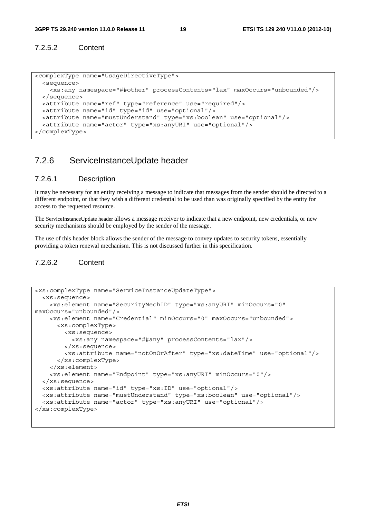### 7.2.5.2 Content

```
<complexType name="UsageDirectiveType"> 
  <sequence> 
    <xs:any namespace="##other" processContents="lax" maxOccurs="unbounded"/> 
  </sequence> 
  <attribute name="ref" type="reference" use="required"/> 
  <attribute name="id" type="id" use="optional"/> 
  <attribute name="mustUnderstand" type="xs:boolean" use="optional"/> 
  <attribute name="actor" type="xs:anyURI" use="optional"/> 
</complexType>
```
## 7.2.6 ServiceInstanceUpdate header

### 7.2.6.1 Description

It may be necessary for an entity receiving a message to indicate that messages from the sender should be directed to a different endpoint, or that they wish a different credential to be used than was originally specified by the entity for access to the requested resource.

The ServiceInstanceUpdate header allows a message receiver to indicate that a new endpoint, new credentials, or new security mechanisms should be employed by the sender of the message.

The use of this header block allows the sender of the message to convey updates to security tokens, essentially providing a token renewal mechanism. This is not discussed further in this specification.

### 7.2.6.2 Content

```
<xs:complexType name="ServiceInstanceUpdateType"> 
   <xs:sequence> 
     <xs:element name="SecurityMechID" type="xs:anyURI" minOccurs="0" 
maxOccurs="unbounded"/> 
    <xs:element name="Credential" minOccurs="0" maxOccurs="unbounded"> 
       <xs:complexType> 
         <xs:sequence> 
           <xs:any namespace="##any" processContents="lax"/> 
         </xs:sequence> 
         <xs:attribute name="notOnOrAfter" type="xs:dateTime" use="optional"/> 
       </xs:complexType> 
     </xs:element> 
     <xs:element name="Endpoint" type="xs:anyURI" minOccurs="0"/> 
   </xs:sequence> 
   <xs:attribute name="id" type="xs:ID" use="optional"/> 
   <xs:attribute name="mustUnderstand" type="xs:boolean" use="optional"/> 
   <xs:attribute name="actor" type="xs:anyURI" use="optional"/> 
</xs:complexType>
```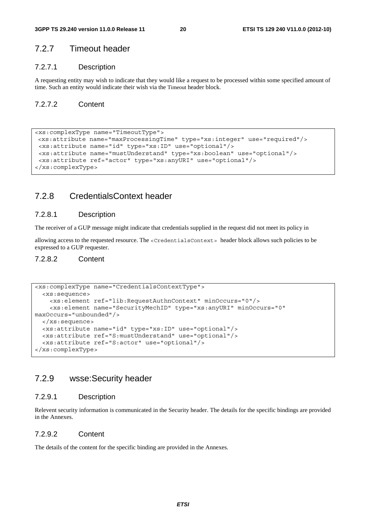## 7.2.7 Timeout header

### 7.2.7.1 Description

A requesting entity may wish to indicate that they would like a request to be processed within some specified amount of time. Such an entity would indicate their wish via the Timeout header block.

### 7.2.7.2 Content

```
<xs:complexType name="TimeoutType">
 <xs:attribute name="maxProcessingTime" type="xs:integer" use="required"/> 
 <xs:attribute name="id" type="xs:ID" use="optional"/> 
 <xs:attribute name="mustUnderstand" type="xs:boolean" use="optional"/> 
 <xs:attribute ref="actor" type="xs:anyURI" use="optional"/> 
</xs:complexType>
```
## 7.2.8 CredentialsContext header

## 7.2.8.1 Description

The receiver of a GUP message might indicate that credentials supplied in the request did not meet its policy in

allowing access to the requested resource. The <CredentialsContext> header block allows such policies to be expressed to a GUP requester.

### 7.2.8.2 Content

```
<xs:complexType name="CredentialsContextType"> 
   <xs:sequence> 
     <xs:element ref="lib:RequestAuthnContext" minOccurs="0"/> 
     <xs:element name="SecurityMechID" type="xs:anyURI" minOccurs="0" 
maxOccurs="unbounded"/> 
  </xs:sequence> 
   <xs:attribute name="id" type="xs:ID" use="optional"/> 
   <xs:attribute ref="S:mustUnderstand" use="optional"/> 
   <xs:attribute ref="S:actor" use="optional"/> 
</xs:complexType>
```
## 7.2.9 wsse:Security header

#### 7.2.9.1 Description

Relevent security information is communicated in the Security header. The details for the specific bindings are provided in the Annexes.

### 7.2.9.2 Content

The details of the content for the specific binding are provided in the Annexes.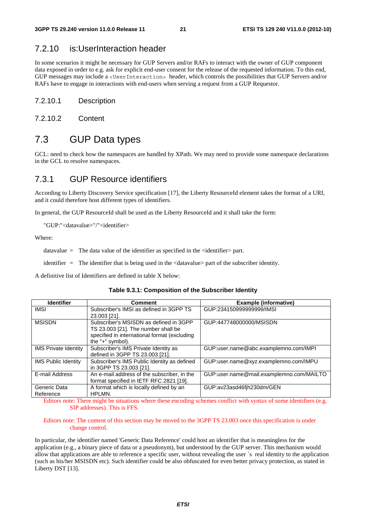## 7.2.10 is:UserInteraction header

In some scenarios it might be necessary for GUP Servers and/or RAFs to interact with the owner of GUP component data exposed in order to e.g. ask for explicit end-user consent for the release of the requested information. To this end, GUP messages may include a <UserInteraction> header, which controls the possibilities that GUP Servers and/or RAFs have to engage in interactions with end-users when serving a request from a GUP Requestor.

#### 7.2.10.1 Description

7.2.10.2 Content

## 7.3 GUP Data types

GCL: need to check how the namespaces are handled by XPath. We may need to provide some namespace declarations in the GCL to resolve namespaces.

## 7.3.1 GUP Resource identifiers

According to Liberty Discovery Service specification [17], the Liberty ResourceId element takes the format of a URI, and it could therefore host different types of identifiers.

In general, the GUP ResourceId shall be used as the Liberty ResourceId and it shall take the form:

"GUP:"<datavalue>"/"<identifier>

Where:

datavalue = The data value of the identifier as specified in the  $\alpha$  identifier > part.

identifier = The identifier that is being used in the <datavalue> part of the subscriber identity.

A definitive list of Identifiers are defined in table X below:

| <b>Identifier</b>           | <b>Comment</b>                               | <b>Example (informative)</b>             |
|-----------------------------|----------------------------------------------|------------------------------------------|
| IMSI                        | Subscriber's IMSI as defined in 3GPP TS      | GUP:2341509999999999/IMSI                |
|                             | 23.003 [21].                                 |                                          |
| <b>MSISDN</b>               | Subscriber's MSISDN as defined in 3GPP       | GUP:447748000000/MSISDN                  |
|                             | TS 23.003 [21]. The number shall be          |                                          |
|                             | specified in international format (excluding |                                          |
|                             | the "+" symbol).                             |                                          |
| <b>IMS Private Identity</b> | Subscriber's IMS Private Identity as         | GUP:user.name@abc.examplemno.com/IMPI    |
|                             | defined in 3GPP TS 23.003 [21].              |                                          |
| <b>IMS Public Identity</b>  | Subscriber's IMS Public Identity as defined  | GUP:user.name@xyz.examplemno.com/IMPU    |
|                             | in 3GPP TS 23.003 [21].                      |                                          |
| E-mail Address              | An e-mail address of the subscriber, in the  | GUP:user.name@mail.examplemno.com/MAILTO |
|                             | format specified in IETF RFC 2821 [19].      |                                          |
| Generic Data                | A format which is locally defined by an      | GUP:av23asd46fjh230dm/GEN                |
| Reference                   | HPLMN.                                       |                                          |

**Table 9.3.1: Composition of the Subscriber Identity** 

Editors note: There might be situations where these encoding schemes conflict with syntax of some identifiers (e.g. SIP addresses). This is FFS.

#### Editors note: The content of this section may be moved to the 3GPP TS 23.003 once this specification is under change control.

In particular, the identifier named 'Generic Data Reference' could host an identifier that is meaningless for the application (e.g., a binary piece of data or a pseudonym), but understood by the GUP server. This mechanism would allow that applications are able to reference a specific user, without revealing the user ´s real identity to the application (such as his/her MSISDN etc). Such identifier could be also obfuscated for even better privacy protection, as stated in Liberty DST [13].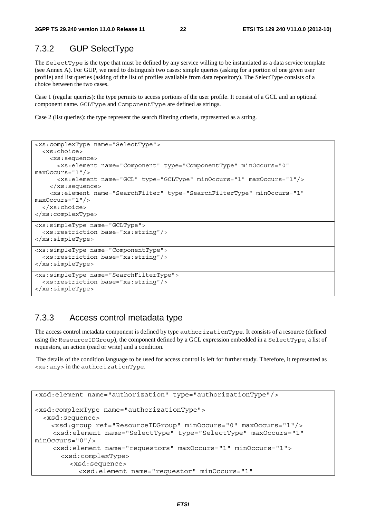## 7.3.2 GUP SelectType

The SelectType is the type that must be defined by any service willing to be instantiated as a data service template (see Annex A). For GUP, we need to distinguish two cases: simple queries (asking for a portion of one given user profile) and list queries (asking of the list of profiles available from data repository). The SelectType consists of a choice between the two cases.

Case 1 (regular queries): the type permits to access portions of the user profile. It consist of a GCL and an optional component name. GCLType and ComponentType are defined as strings.

Case 2 (list queries): the type represent the search filtering criteria, represented as a string.

```
<xs:complexType name="SelectType"> 
   <xs:choice> 
     <xs:sequence> 
       <xs:element name="Component" type="ComponentType" minOccurs="0" 
maxOccurs="1"/> 
       <xs:element name="GCL" type="GCLType" minOccurs="1" maxOccurs="1"/> 
     </xs:sequence> 
     <xs:element name="SearchFilter" type="SearchFilterType" minOccurs="1" 
maxOccurs="1"/> 
   </xs:choice> 
</xs:complexType> 
<xs:simpleType name="GCLType"> 
   <xs:restriction base="xs:string"/> 
</xs:simpleType> 
<xs:simpleType name="ComponentType"> 
   <xs:restriction base="xs:string"/> 
</xs:simpleType> 
<xs:simpleType name="SearchFilterType"> 
   <xs:restriction base="xs:string"/> 
</xs:simpleType>
```
## 7.3.3 Access control metadata type

The access control metadata component is defined by type authorizationType. It consists of a resource (defined using the ResourceIDGroup), the component defined by a GCL expression embedded in a SelectType, a list of requestors, an action (read or write) and a condition.

 The details of the condition language to be used for access control is left for further study. Therefore, it represented as <xs:any> in the authorizationType.

```
<xsd:element name="authorization" type="authorizationType"/> 
<xsd:complexType name="authorizationType"> 
   <xsd:sequence> 
     <xsd:group ref="ResourceIDGroup" minOccurs="0" maxOccurs="1"/> 
     <xsd:element name="SelectType" type="SelectType" maxOccurs="1" 
minOccurs="0"/> 
     <xsd:element name="requestors" maxOccurs="1" minOccurs="1"> 
       <xsd:complexType> 
          <xsd:sequence> 
            <xsd:element name="requestor" minOccurs="1"
```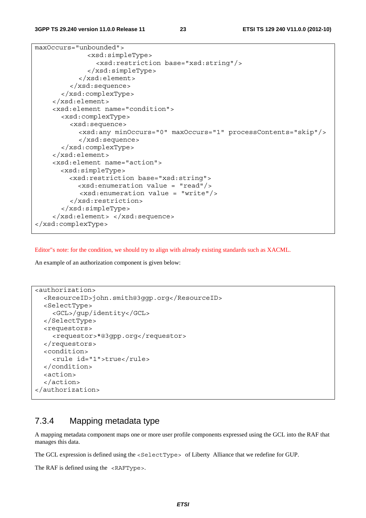maxOccurs="unbounded"> <xsd:simpleType> <xsd:restriction base="xsd:string"/> </xsd:simpleType> </xsd:element> </xsd:sequence> </xsd:complexType> </xsd:element> <xsd:element name="condition"> <xsd:complexType> <xsd:sequence> <xsd:any minOccurs="0" maxOccurs="1" processContents="skip"/> </xsd:sequence> </xsd:complexType> </xsd:element> <xsd:element name="action"> <xsd:simpleType> <xsd:restriction base="xsd:string"> <xsd:enumeration value = "read"/> <xsd:enumeration value = "write"/> </xsd:restriction> </xsd:simpleType> </xsd:element> </xsd:sequence> </xsd:complexType>

Editor"s note: for the condition, we should try to align with already existing standards such as XACML.

An example of an authorization component is given below:

```
<authorization> 
   <ResourceID>john.smith@3ggp.org</ResourceID> 
   <SelectType> 
     <GCL>/gup/identity</GCL> 
   </SelectType> 
   <requestors> 
     <requestor>*@3gpp.org</requestor> 
   </requestors> 
   <condition> 
     <rule id="1">true</rule> 
   </condition> 
   <action> 
   </action> 
</authorization>
```
## 7.3.4 Mapping metadata type

A mapping metadata component maps one or more user profile components expressed using the GCL into the RAF that manages this data.

The GCL expression is defined using the  $\leq$ SelectType> of Liberty Alliance that we redefine for GUP.

The RAF is defined using the <RAFType>.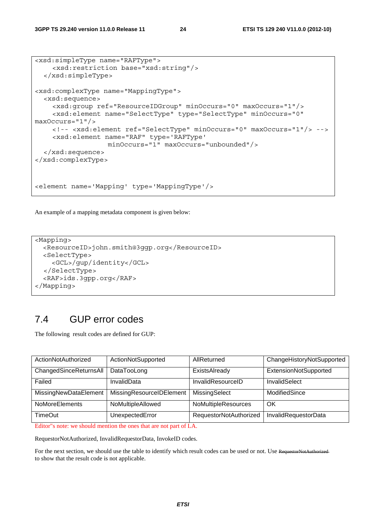```
<xsd:simpleType name="RAFType"> 
     <xsd:restriction base="xsd:string"/> 
   </xsd:simpleType> 
<xsd:complexType name="MappingType"> 
   <xsd:sequence> 
     <xsd:group ref="ResourceIDGroup" minOccurs="0" maxOccurs="1"/> 
     <xsd:element name="SelectType" type="SelectType" minOccurs="0" 
maxOccurs="1"/> 
     <!-- <xsd:element ref="SelectType" minOccurs="0" maxOccurs="1"/> --> 
     <xsd:element name="RAF" type='RAFType' 
                    minOccurs="1" maxOccurs="unbounded"/> 
   </xsd:sequence> 
</xsd:complexType> 
<element name='Mapping' type='MappingType'/>
```
An example of a mapping metadata component is given below:

```
<Mapping> 
   <ResourceID>john.smith@3ggp.org</ResourceID> 
   <SelectType> 
     <GCL>/gup/identity</GCL> 
   </SelectType> 
   <RAF>ids.3gpp.org</RAF> 
</Mapping>
```
## 7.4 GUP error codes

The following result codes are defined for GUP:

| ActionNotAuthorized    | ActionNotSupported       | AllReturned            | ChangeHistoryNotSupported |
|------------------------|--------------------------|------------------------|---------------------------|
| ChangedSinceReturnsAll | DataTooLong              | ExistsAlready          | ExtensionNotSupported     |
| Failed                 | InvalidData              | InvalidResourceID      | InvalidSelect             |
| MissingNewDataElement  | MissingResourceIDElement | MissingSelect          | ModifiedSince             |
| <b>NoMoreElements</b>  | NoMultipleAllowed        | NoMultipleResources    | OK                        |
| <b>TimeOut</b>         | UnexpectedError          | RequestorNotAuthorized | InvalidRequestorData      |

Editor"s note: we should mention the ones that are not part of LA.

RequestorNotAuthorized, InvalidRequestorData, InvokeID codes.

For the next section, we should use the table to identify which result codes can be used or not. Use RequestorNotAuthorized to show that the result code is not applicable.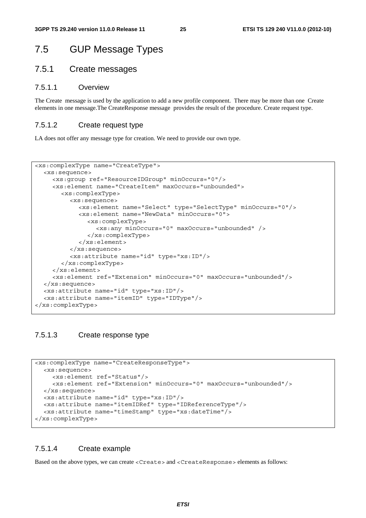## 7.5 GUP Message Types

## 7.5.1 Create messages

#### 7.5.1.1 Overview

The Create message is used by the application to add a new profile component. There may be more than one Create elements in one message.The CreateResponse message provides the result of the procedure. Create request type.

#### 7.5.1.2 Create request type

LA does not offer any message type for creation. We need to provide our own type.

```
<xs:complexType name="CreateType"> 
   <xs:sequence> 
      <xs:group ref="ResourceIDGroup" minOccurs="0"/> 
      <xs:element name="CreateItem" maxOccurs="unbounded"> 
        <xs:complexType> 
           <xs:sequence> 
             <xs:element name="Select" type="SelectType" minOccurs="0"/> 
             <xs:element name="NewData" minOccurs="0"> 
                <xs:complexType> 
                   <xs:any minOccurs="0" maxOccurs="unbounded" /> 
                </xs:complexType> 
             </xs:element> 
           </xs:sequence> 
           <xs:attribute name="id" type="xs:ID"/> 
        </xs:complexType> 
      </xs:element> 
      <xs:element ref="Extension" minOccurs="0" maxOccurs="unbounded"/> 
   </xs:sequence> 
   <xs:attribute name="id" type="xs:ID"/> 
   <xs:attribute name="itemID" type="IDType"/> 
</xs:complexType>
```
## 7.5.1.3 Create response type

```
<xs:complexType name="CreateResponseType"> 
   <xs:sequence> 
     <xs:element ref="Status"/> 
     <xs:element ref="Extension" minOccurs="0" maxOccurs="unbounded"/> 
   </xs:sequence> 
   <xs:attribute name="id" type="xs:ID"/> 
   <xs:attribute name="itemIDRef" type="IDReferenceType"/> 
   <xs:attribute name="timeStamp" type="xs:dateTime"/> 
</xs:complexType>
```
## 7.5.1.4 Create example

Based on the above types, we can create <Create> and <CreateResponse> elements as follows: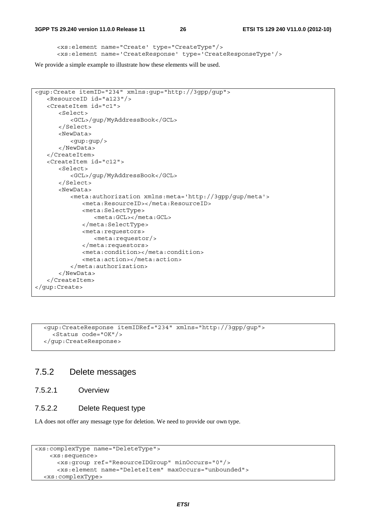```
<xs:element name="Create' type="CreateType"/> 
<xs:element name='CreateResponse' type='CreateResponseType'/>
```
We provide a simple example to illustrate how these elements will be used.

```
<gup:Create itemID="234" xmlns:gup="http://3gpp/gup"> 
    <ResourceID id="a123"/> 
    <CreateItem id="c1"> 
       200 - 5 <GCL>/gup/MyAddressBook</GCL> 
        </Select> 
        <NewData> 
           <gup:gup/> 
        </NewData> 
    </CreateItem> 
    <CreateItem id="c12"> 
        <Select> 
           <GCL>/gup/MyAddressBook</GCL> 
        </Select> 
        <NewData> 
           <meta:authorization xmlns:meta='http://3gpp/gup/meta'> 
               <meta:ResourceID></meta:ResourceID> 
               <meta:SelectType> 
                  <meta:GCL></meta:GCL> 
               </meta:SelectType> 
               <meta:requestors> 
                  <meta:requestor/> 
               </meta:requestors> 
               <meta:condition></meta:condition> 
               <meta:action></meta:action> 
           </meta:authorization> 
        </NewData> 
    </CreateItem> 
</gup:Create>
```
 <gup:CreateResponse itemIDRef="234" xmlns="http://3gpp/gup"> <Status code="OK"/> </gup:CreateResponse>

## 7.5.2 Delete messages

7.5.2.1 Overview

## 7.5.2.2 Delete Request type

LA does not offer any message type for deletion. We need to provide our own type.

```
<xs:complexType name="DeleteType"> 
     <xs:sequence> 
       <xs:group ref="ResourceIDGroup" minOccurs="0"/> 
       <xs:element name="DeleteItem" maxOccurs="unbounded"> 
   <xs:complexType>
```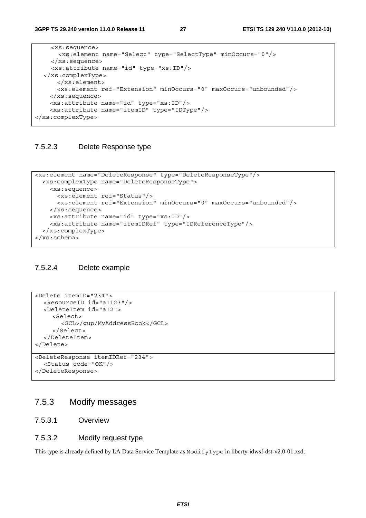**3GPP TS 29.240 version 11.0.0 Release 11 27 ETSI TS 129 240 V11.0.0 (2012-10)**

```
 <xs:sequence> 
       <xs:element name="Select" type="SelectType" minOccurs="0"/> 
     </xs:sequence> 
     <xs:attribute name="id" type="xs:ID"/> 
   </xs:complexType> 
       </xs:element> 
       <xs:element ref="Extension" minOccurs="0" maxOccurs="unbounded"/> 
     </xs:sequence> 
     <xs:attribute name="id" type="xs:ID"/> 
     <xs:attribute name="itemID" type="IDType"/> 
</xs:complexType>
```
### 7.5.2.3 Delete Response type

```
<xs:element name="DeleteResponse" type="DeleteResponseType"/> 
   <xs:complexType name="DeleteResponseType"> 
     <xs:sequence> 
       <xs:element ref="Status"/> 
       <xs:element ref="Extension" minOccurs="0" maxOccurs="unbounded"/> 
     </xs:sequence> 
     <xs:attribute name="id" type="xs:ID"/> 
     <xs:attribute name="itemIDRef" type="IDReferenceType"/> 
   </xs:complexType> 
</xs:schema>
```
## 7.5.2.4 Delete example

```
<Delete itemID="234"> 
   <ResourceID id="a1123"/> 
   <DeleteItem id="a12"> 
      <Select> 
        <GCL>/gup/MyAddressBook</GCL> 
      </Select> 
   </DeleteItem> 
</Delete>
```

```
<DeleteResponse itemIDRef="234"> 
   <Status code="OK"/> 
</DeleteResponse>
```
## 7.5.3 Modify messages

### 7.5.3.1 Overview

#### 7.5.3.2 Modify request type

This type is already defined by LA Data Service Template as ModifyType in liberty-idwsf-dst-v2.0-01.xsd.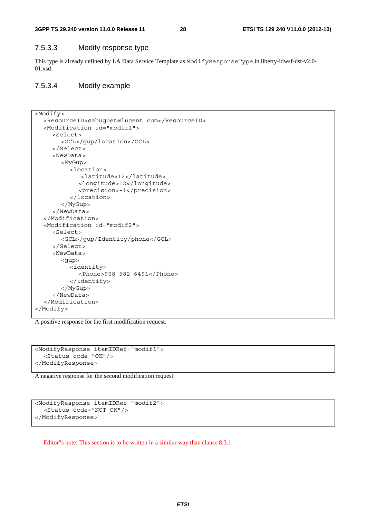### 7.5.3.3 Modify response type

This type is already defined by LA Data Service Template as ModifyResponseType in liberty-idwsf-dst-v2.0- 01.xsd.

### 7.5.3.4 Modify example

```
<Modify> 
   <ResourceID>sahuguet@lucent.com</ResourceID> 
   <Modification id="modif1"> 
      <Select> 
         <GCL>/gup/location</GCL> 
      </Select> 
      <NewData> 
         <MyGup> 
            <location> 
               <latitude>12</latitude> 
              <longitude>12</longitude> 
              <precision>-1</precision> 
            </location> 
         </MyGup> 
      </NewData> 
   </Modification> 
   <Modification id="modif2"> 
      <Select> 
         <GCL>/gup/Identity/phone</GCL> 
      </Select> 
      <NewData> 
         <gup> 
            <identity> 
              <Phone>908 582 6491</Phone> 
            </identity> 
         </MyGup> 
      </NewData> 
   </Modification> 
</Modify>
```
A positive response for the first modification request.

```
<ModifyResponse itemIDRef="modif1"> 
   <Status code="OK"/> 
</ModifyResponse>
```
A negative response for the second modification request.

```
<ModifyResponse itemIDRef="modif2"> 
   <Status code="NOT_OK"/> 
</ModifyResponse>
```
Editor"s note: This section is to be written in a similar way than clause 8.3.1.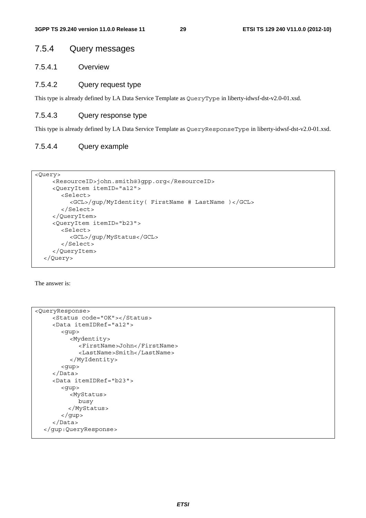## 7.5.4 Query messages

7.5.4.1 Overview

#### 7.5.4.2 Query request type

This type is already defined by LA Data Service Template as QueryType in liberty-idwsf-dst-v2.0-01.xsd.

### 7.5.4.3 Query response type

This type is already defined by LA Data Service Template as QueryResponseType in liberty-idwsf-dst-v2.0-01.xsd.

### 7.5.4.4 Query example

```
<Query>
```

```
 <ResourceID>john.smith@3gpp.org</ResourceID> 
   <QueryItem itemID="a12"> 
      <Select> 
        <GCL>/gup/MyIdentity( FirstName # LastName )</GCL> 
      </Select> 
   </QueryItem> 
   <QueryItem itemID="b23"> 
      <Select> 
        <GCL>/gup/MyStatus</GCL> 
      </Select> 
   </QueryItem> 
 </Query>
```
The answer is:

```
<QueryResponse> 
      <Status code="OK"></Status> 
      <Data itemIDRef="a12"> 
         <gup> 
           <Mydentity> 
              <FirstName>John</FirstName> 
              <LastName>Smith</LastName> 
           </MyIdentity> 
         <gup> 
      </Data> 
      <Data itemIDRef="b23"> 
        <gup> 
           <MyStatus> 
              busy 
           </MyStatus> 
         </gup> 
      </Data> 
   </gup:QueryResponse>
```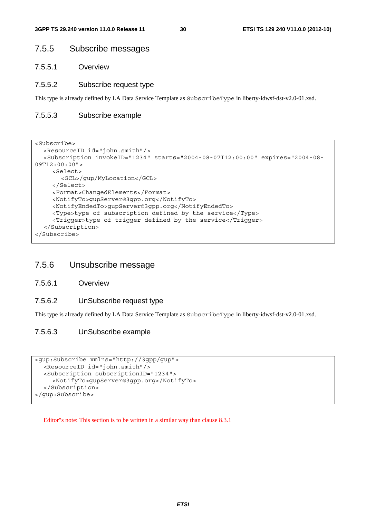## 7.5.5 Subscribe messages

7.5.5.1 Overview

#### 7.5.5.2 Subscribe request type

This type is already defined by LA Data Service Template as SubscribeType in liberty-idwsf-dst-v2.0-01.xsd.

#### 7.5.5.3 Subscribe example

```
<Subscribe> 
   <ResourceID id="john.smith"/> 
   <Subscription invokeID="1234" starts="2004-08-07T12:00:00" expires="2004-08-
09T12:00:00"> 
     <Select> 
        <GCL>/gup/MyLocation</GCL> 
     </Select> 
      <Format>ChangedElements</Format> 
      <NotifyTo>gupServer@3gpp.org</NotifyTo> 
      <NotifyEndedTo>gupServer@3gpp.org</NotifyEndedTo> 
      <Type>type of subscription defined by the service</Type> 
      <Trigger>type of trigger defined by the service</Trigger> 
   </Subscription> 
</Subscribe>
```
## 7.5.6 Unsubscribe message

- 7.5.6.1 Overview
- 7.5.6.2 UnSubscribe request type

This type is already defined by LA Data Service Template as SubscribeType in liberty-idwsf-dst-v2.0-01.xsd.

#### 7.5.6.3 UnSubscribe example

```
<gup:Subscribe xmlns="http://3gpp/gup"> 
   <ResourceID id="john.smith"/> 
   <Subscription subscriptionID="1234"> 
      <NotifyTo>gupServer@3gpp.org</NotifyTo> 
   </Subscription> 
</gup:Subscribe>
```
Editor"s note: This section is to be written in a similar way than clause 8.3.1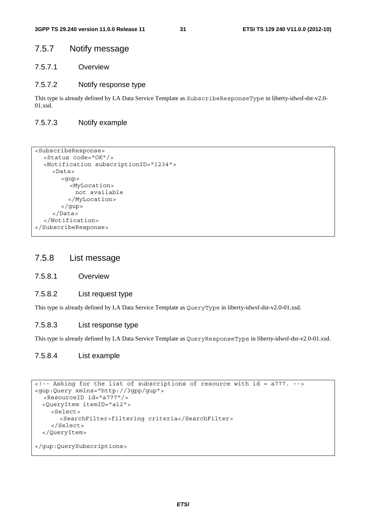## 7.5.7 Notify message

7.5.7.1 Overview

#### 7.5.7.2 Notify response type

This type is already defined by LA Data Service Template as SubscribeResponseType in liberty-idwsf-dst-v2.0- 01.xsd.

### 7.5.7.3 Notify example

```
<SubscribeResponse> 
   <Status code="OK"/> 
   <Notification subscriptionID="1234"> 
      <Data> 
         <gup> 
           <MyLocation> 
            not available 
           </MyLocation> 
         </gup> 
      </Data> 
   </Notification> 
</SubscribeResponse>
```
## 7.5.8 List message

#### 7.5.8.1 Overview

## 7.5.8.2 List request type

This type is already defined by LA Data Service Template as QueryType in liberty-idwsf-dst-v2.0-01.xsd.

#### 7.5.8.3 List response type

This type is already defined by LA Data Service Template as QueryResponseType in liberty-idwsf-dst-v2.0-01.xsd.

### 7.5.8.4 List example

```
<!-- Asking for the list of subscriptions of resource with id = a777. --> 
<gup:Query xmlns="http://3gpp/gup"> 
   <ResourceID id="a777"/> 
   <QueryItem itemID="a12"> 
     <Select> 
        <SearchFilter>filtering criteria</SearchFilter> 
     </Select> 
   </QueryItem> 
</gup:QuerySubscriptions>
```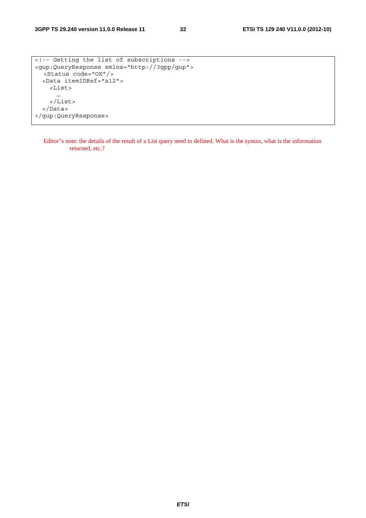```
<!-- Getting the list of subscriptions --> 
<gup:QueryResponse xmlns="http://3gpp/gup"> 
   <Status code="OK"/> 
   <Data itemIDRef="a12"> 
     <List> 
       … 
     </List> 
   </Data> 
</gup:QueryResponse>
```
Editor"s note: the details of the result of a List query need to defined. What is the syntax, what is the information returned, etc.?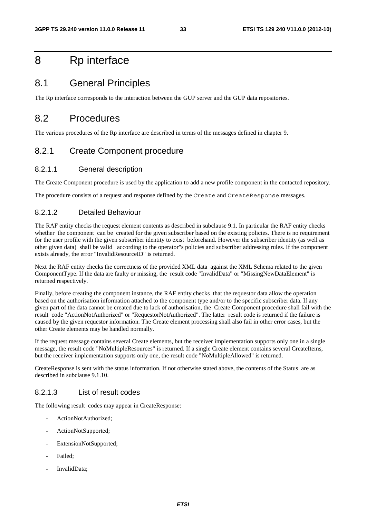## 8 Rp interface

## 8.1 General Principles

The Rp interface corresponds to the interaction between the GUP server and the GUP data repositories.

## 8.2 Procedures

The various procedures of the Rp interface are described in terms of the messages defined in chapter 9.

## 8.2.1 Create Component procedure

### 8.2.1.1 General description

The Create Component procedure is used by the application to add a new profile component in the contacted repository.

The procedure consists of a request and response defined by the Create and CreateResponse messages.

## 8.2.1.2 Detailed Behaviour

The RAF entity checks the request element contents as described in subclause 9.1. In particular the RAF entity checks whether the component can be created for the given subscriber based on the existing policies. There is no requirement for the user profile with the given subscriber identity to exist beforehand. However the subscriber identity (as well as other given data) shall be valid according to the operator"s policies and subscriber addressing rules. If the component exists already, the error "InvalidResourceID" is returned.

Next the RAF entity checks the correctness of the provided XML data against the XML Schema related to the given ComponentType. If the data are faulty or missing, the result code "InvalidData" or "MissingNewDataElement" is returned respectively.

Finally, before creating the component instance, the RAF entity checks that the requestor data allow the operation based on the authorisation information attached to the component type and/or to the specific subscriber data. If any given part of the data cannot be created due to lack of authorisation, the Create Component procedure shall fail with the result code "ActionNotAuthorized" or "RequestorNotAuthorized". The latter result code is returned if the failure is caused by the given requestor information. The Create element processing shall also fail in other error cases, but the other Create elements may be handled normally.

If the request message contains several Create elements, but the receiver implementation supports only one in a single message, the result code "NoMultipleResources" is returned. If a single Create element contains several CreateItems, but the receiver implementation supports only one, the result code "NoMultipleAllowed" is returned.

CreateResponse is sent with the status information. If not otherwise stated above, the contents of the Status are as described in subclause 9.1.10.

#### 8.2.1.3 List of result codes

The following result codes may appear in CreateResponse:

- ActionNotAuthorized;
- ActionNotSupported;
- ExtensionNotSupported;
- Failed:
- InvalidData: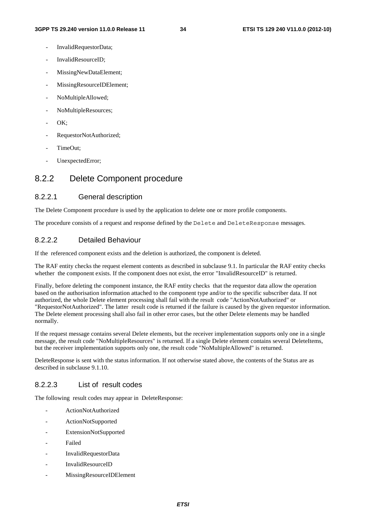- InvalidRequestorData;
- InvalidResourceID;
- MissingNewDataElement;
- MissingResourceIDElement;
- NoMultipleAllowed;
- NoMultipleResources;
- OK:
- RequestorNotAuthorized;
- TimeOut:
- UnexpectedError;

## 8.2.2 Delete Component procedure

## 8.2.2.1 General description

The Delete Component procedure is used by the application to delete one or more profile components.

The procedure consists of a request and response defined by the Delete and DeleteResponse messages.

## 8.2.2.2 Detailed Behaviour

If the referenced component exists and the deletion is authorized, the component is deleted.

The RAF entity checks the request element contents as described in subclause 9.1. In particular the RAF entity checks whether the component exists. If the component does not exist, the error "InvalidResourceID" is returned.

Finally, before deleting the component instance, the RAF entity checks that the requestor data allow the operation based on the authorisation information attached to the component type and/or to the specific subscriber data. If not authorized, the whole Delete element processing shall fail with the result code "ActionNotAuthorized" or "RequestorNotAuthorized". The latter result code is returned if the failure is caused by the given requestor information. The Delete element processing shall also fail in other error cases, but the other Delete elements may be handled normally.

If the request message contains several Delete elements, but the receiver implementation supports only one in a single message, the result code "NoMultipleResources" is returned. If a single Delete element contains several DeleteItems, but the receiver implementation supports only one, the result code "NoMultipleAllowed" is returned.

DeleteResponse is sent with the status information. If not otherwise stated above, the contents of the Status are as described in subclause 9.1.10.

## 8.2.2.3 List of result codes

The following result codes may appear in DeleteResponse:

- ActionNotAuthorized
- ActionNotSupported
- ExtensionNotSupported
- Failed
- InvalidRequestorData
- InvalidResourceID
- MissingResourceIDElement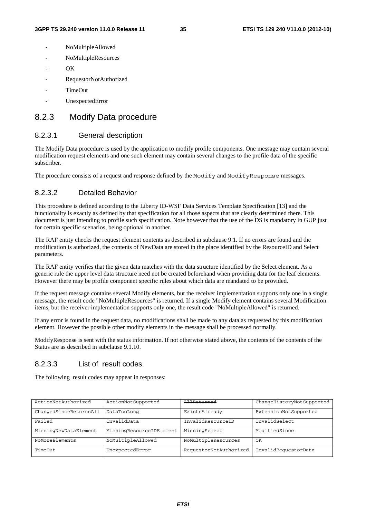- NoMultipleAllowed
- NoMultipleResources
- $OK$
- RequestorNotAuthorized
- TimeOut
- UnexpectedError

## 8.2.3 Modify Data procedure

### 8.2.3.1 General description

The Modify Data procedure is used by the application to modify profile components. One message may contain several modification request elements and one such element may contain several changes to the profile data of the specific subscriber.

The procedure consists of a request and response defined by the Modify and ModifyResponse messages.

#### 8.2.3.2 Detailed Behavior

This procedure is defined according to the Liberty ID-WSF Data Services Template Specification [13] and the functionality is exactly as defined by that specification for all those aspects that are clearly determined there. This document is just intending to profile such specification. Note however that the use of the DS is mandatory in GUP just for certain specific scenarios, being optional in another.

The RAF entity checks the request element contents as described in subclause 9.1. If no errors are found and the modification is authorized, the contents of NewData are stored in the place identified by the ResourceID and Select parameters.

The RAF entity verifies that the given data matches with the data structure identified by the Select element. As a generic rule the upper level data structure need not be created beforehand when providing data for the leaf elements. However there may be profile component specific rules about which data are mandated to be provided.

If the request message contains several Modify elements, but the receiver implementation supports only one in a single message, the result code "NoMultipleResources" is returned. If a single Modify element contains several Modification items, but the receiver implementation supports only one, the result code "NoMultipleAllowed" is returned.

If any error is found in the request data, no modifications shall be made to any data as requested by this modification element. However the possible other modify elements in the message shall be processed normally.

ModifyResponse is sent with the status information. If not otherwise stated above, the contents of the contents of the Status are as described in subclause 9.1.10.

## 8.2.3.3 List of result codes

The following result codes may appear in responses:

| ActionNotAuthorized    | ActionNotSupported       | AllReturned            | ChangeHistoryNotSupported |
|------------------------|--------------------------|------------------------|---------------------------|
| ChangedSinceReturnsAll | <b>DataTooLong</b>       | ExistsAlready          | ExtensionNotSupported     |
| Failed                 | InvalidData              | InvalidResourceID      | InvalidSelect             |
| MissingNewDataElement  | MissingResourceIDElement | MissingSelect          | ModifiedSince             |
| NoMoreElements         | NoMultipleAllowed        | NoMultipleResources    | ΟK                        |
| TimeOut                | UnexpectedError          | RequestorNotAuthorized | InvalidRequestorData      |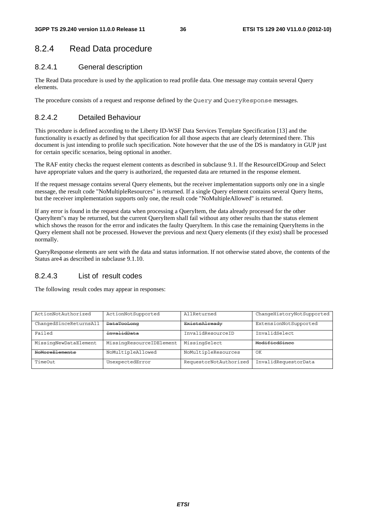# 8.2.4 Read Data procedure

## 8.2.4.1 General description

The Read Data procedure is used by the application to read profile data. One message may contain several Query elements.

The procedure consists of a request and response defined by the Query and QueryResponse messages.

# 8.2.4.2 Detailed Behaviour

This procedure is defined according to the Liberty ID-WSF Data Services Template Specification [13] and the functionality is exactly as defined by that specification for all those aspects that are clearly determined there. This document is just intending to profile such specification. Note however that the use of the DS is mandatory in GUP just for certain specific scenarios, being optional in another.

The RAF entity checks the request element contents as described in subclause 9.1. If the ResourceIDGroup and Select have appropriate values and the query is authorized, the requested data are returned in the response element.

If the request message contains several Query elements, but the receiver implementation supports only one in a single message, the result code "NoMultipleResources" is returned. If a single Query element contains several Query Items, but the receiver implementation supports only one, the result code "NoMultipleAllowed" is returned.

If any error is found in the request data when processing a QueryItem, the data already processed for the other QueryItem"s may be returned, but the current QueryItem shall fail without any other results than the status element which shows the reason for the error and indicates the faulty QueryItem. In this case the remaining QueryItems in the Query element shall not be processed. However the previous and next Query elements (if they exist) shall be processed normally.

QueryResponse elements are sent with the data and status information. If not otherwise stated above, the contents of the Status are4 as described in subclause 9.1.10.

# 8.2.4.3 List of result codes

| ActionNotAuthorized    | ActionNotSupported       | AllReturned            | ChangeHistoryNotSupported |
|------------------------|--------------------------|------------------------|---------------------------|
| ChangedSinceReturnsAll | <b>DataTooLong</b>       | ExistsAlready          | ExtensionNotSupported     |
| Failed                 | InvalidData              | InvalidResourceID      | InvalidSelect             |
| MissingNewDataElement  | MissingResourceIDElement | MissingSelect          | ModifiedSince             |
| NoMoreElements         | NoMultipleAllowed        | NoMultipleResources    | OK                        |
| TimeOut                | UnexpectedError          | RequestorNotAuthorized | InvalidRequestorData      |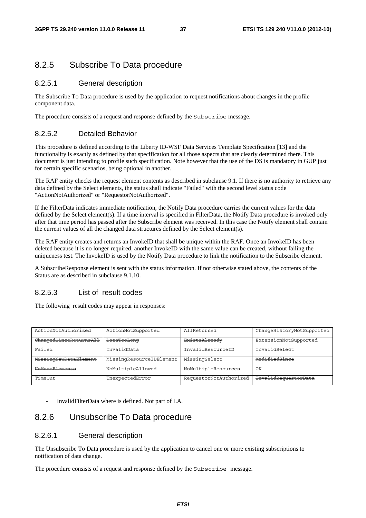# 8.2.5 Subscribe To Data procedure

### 8.2.5.1 General description

The Subscribe To Data procedure is used by the application to request notifications about changes in the profile component data.

The procedure consists of a request and response defined by the Subscribe message.

### 8.2.5.2 Detailed Behavior

This procedure is defined according to the Liberty ID-WSF Data Services Template Specification [13] and the functionality is exactly as defined by that specification for all those aspects that are clearly determined there. This document is just intending to profile such specification. Note however that the use of the DS is mandatory in GUP just for certain specific scenarios, being optional in another.

The RAF entity checks the request element contents as described in subclause 9.1. If there is no authority to retrieve any data defined by the Select elements, the status shall indicate "Failed" with the second level status code "ActionNotAuthorized" or "RequestorNotAuthorized".

If the FilterData indicates immediate notification, the Notify Data procedure carries the current values for the data defined by the Select element(s). If a time interval is specified in FilterData, the Notify Data procedure is invoked only after that time period has passed after the Subscribe element was received. In this case the Notify element shall contain the current values of all the changed data structures defined by the Select element(s).

The RAF entity creates and returns an InvokeID that shall be unique within the RAF. Once an InvokeID has been deleted because it is no longer required, another InvokeID with the same value can be created, without failing the uniqueness test. The InvokeID is used by the Notify Data procedure to link the notification to the Subscribe element.

A SubscribeResponse element is sent with the status information. If not otherwise stated above, the contents of the Status are as described in subclause 9.1.10

### 8.2.5.3 List of result codes

The following result codes may appear in responses:

| ActionNotAuthorized    | ActionNotSupported       | AllReturned            | ChangeHistoryNotSupported   |
|------------------------|--------------------------|------------------------|-----------------------------|
| ChangedSinceReturnsAll | <b>DataTooLong</b>       | ExistsAlready          | ExtensionNotSupported       |
| Failed                 | InvalidData              | InvalidResourceID      | InvalidSelect               |
| MissingNewDataElement  | MissingResourceIDElement | MissingSelect          | ModifiedSince               |
| NoMoreElements         | NoMultipleAllowed        | NoMultipleResources    | OK                          |
| TimeOut                | UnexpectedError          | RequestorNotAuthorized | <b>InvalidRequestorData</b> |

InvalidFilterData where is defined. Not part of LA.

# 8.2.6 Unsubscribe To Data procedure

### 8.2.6.1 General description

The Unsubscribe To Data procedure is used by the application to cancel one or more existing subscriptions to notification of data change.

The procedure consists of a request and response defined by the Subscribe message.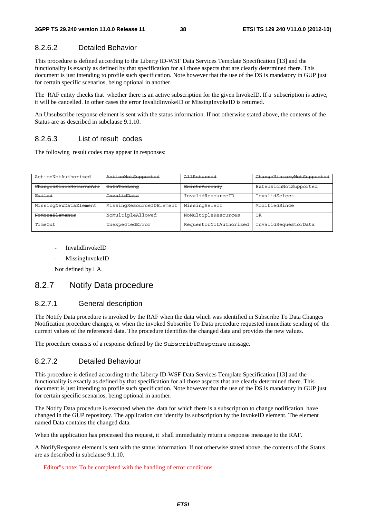### 8.2.6.2 Detailed Behavior

This procedure is defined according to the Liberty ID-WSF Data Services Template Specification [13] and the functionality is exactly as defined by that specification for all those aspects that are clearly determined there. This document is just intending to profile such specification. Note however that the use of the DS is mandatory in GUP just for certain specific scenarios, being optional in another.

The RAF entity checks that whether there is an active subscription for the given InvokeID. If a subscription is active, it will be cancelled. In other cases the error InvalidInvokeID or MissingInvokeID is returned.

An Unsubscribe response element is sent with the status information. If not otherwise stated above, the contents of the Status are as described in subclause 9.1.10.

### 8.2.6.3 List of result codes

The following result codes may appear in responses:

| ActionNotAuthorized    | ActionNotSupported       | AllReturned            | ChangeHistoryNotSupported |
|------------------------|--------------------------|------------------------|---------------------------|
| ChangedSinceReturnsAll | <b>DataTooLong</b>       | <b>ExistsAlready</b>   | ExtensionNotSupported     |
| Failed                 | InvalidData              | InvalidResourceID      | InvalidSelect             |
| MissingNewDataElement  | MissingResourceIDElement | MissingSelect          | ModifiedSince             |
| NoMoreElements         | NoMultipleAllowed        | NoMultipleResources    | OK                        |
| TimeOut                | UnexpectedError          | RequestorNotAuthorized | InvalidRequestorData      |

- InvalidInvokeID
- MissingInvokeID

Not defined by LA.

## 8.2.7 Notify Data procedure

### 8.2.7.1 General description

The Notify Data procedure is invoked by the RAF when the data which was identified in Subscribe To Data Changes Notification procedure changes, or when the invoked Subscribe To Data procedure requested immediate sending of the current values of the referenced data. The procedure identifies the changed data and provides the new values.

The procedure consists of a response defined by the SubscribeResponse message.

### 8.2.7.2 Detailed Behaviour

This procedure is defined according to the Liberty ID-WSF Data Services Template Specification [13] and the functionality is exactly as defined by that specification for all those aspects that are clearly determined there. This document is just intending to profile such specification. Note however that the use of the DS is mandatory in GUP just for certain specific scenarios, being optional in another.

The Notify Data procedure is executed when the data for which there is a subscription to change notification have changed in the GUP repository. The application can identify its subscription by the InvokeID element. The element named Data contains the changed data.

When the application has processed this request, it shall immediately return a response message to the RAF.

A NotifyResponse element is sent with the status information. If not otherwise stated above, the contents of the Status are as described in subclause 9.1.10.

#### Editor"s note: To be completed with the handling of error conditions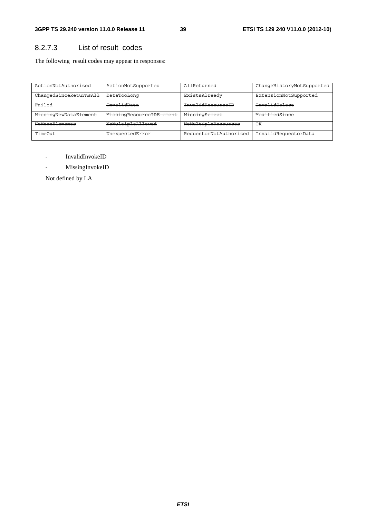# 8.2.7.3 List of result codes

The following result codes may appear in responses:

| ActionNotAuthorized    | ActionNotSupported       | AllReturned            | ChangeHistoryNotSupported |
|------------------------|--------------------------|------------------------|---------------------------|
| ChangedSinceReturnsAll | <b>DataTooLong</b>       | ExistsAlready          | ExtensionNotSupported     |
| Failed                 | <del>InvalidData</del>   | InvalidResourceID      | InvalidSelect             |
| MissingNewDataElement  | MissingResourceIDElement | MissingSelect          | ModifiedSince             |
| NoMoreElements         | NoMultipleAllowed        | NoMultipleResources    | OK                        |
| TimeOut                | UnexpectedError          | RequestorNotAuthorized | InvalidRequestorData      |

- InvalidInvokeID
- MissingInvokeID

Not defined by LA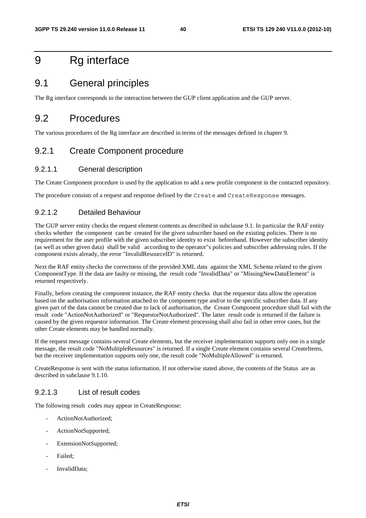# 9 Rg interface

# 9.1 General principles

The Rg interface corresponds to the interaction between the GUP client application and the GUP server.

# 9.2 Procedures

The various procedures of the Rg interface are described in terms of the messages defined in chapter 9.

# 9.2.1 Create Component procedure

### 9.2.1.1 General description

The Create Component procedure is used by the application to add a new profile component in the contacted repository.

The procedure consists of a request and response defined by the Create and CreateResponse messages.

## 9.2.1.2 Detailed Behaviour

The GUP server entity checks the request element contents as described in subclause 9.1. In particular the RAF entity checks whether the component can be created for the given subscriber based on the existing policies. There is no requirement for the user profile with the given subscriber identity to exist beforehand. However the subscriber identity (as well as other given data) shall be valid according to the operator"s policies and subscriber addressing rules. If the component exists already, the error "InvalidResourceID" is returned.

Next the RAF entity checks the correctness of the provided XML data against the XML Schema related to the given ComponentType. If the data are faulty or missing, the result code "InvalidData" or "MissingNewDataElement" is returned respectively.

Finally, before creating the component instance, the RAF entity checks that the requestor data allow the operation based on the authorisation information attached to the component type and/or to the specific subscriber data. If any given part of the data cannot be created due to lack of authorisation, the Create Component procedure shall fail with the result code "ActionNotAuthorized" or "RequestorNotAuthorized". The latter result code is returned if the failure is caused by the given requestor information. The Create element processing shall also fail in other error cases, but the other Create elements may be handled normally.

If the request message contains several Create elements, but the receiver implementation supports only one in a single message, the result code "NoMultipleResources" is returned. If a single Create element contains several CreateItems, but the receiver implementation supports only one, the result code "NoMultipleAllowed" is returned.

CreateResponse is sent with the status information. If not otherwise stated above, the contents of the Status are as described in subclause 9.1.10.

### 9.2.1.3 List of result codes

- ActionNotAuthorized;
- ActionNotSupported;
- ExtensionNotSupported;
- Failed:
- InvalidData: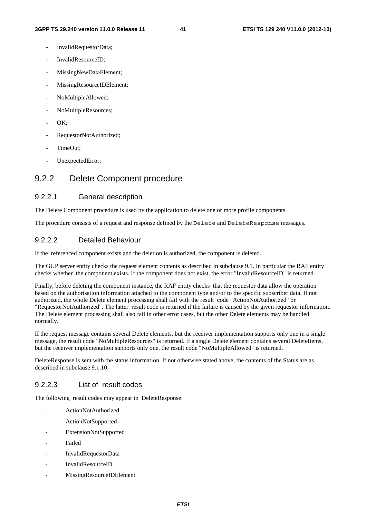- InvalidRequestorData;
- InvalidResourceID;
- MissingNewDataElement;
- MissingResourceIDElement;
- NoMultipleAllowed;
- NoMultipleResources;
- OK:
- RequestorNotAuthorized;
- TimeOut:
- UnexpectedError;

# 9.2.2 Delete Component procedure

### 9.2.2.1 General description

The Delete Component procedure is used by the application to delete one or more profile components.

The procedure consists of a request and response defined by the Delete and DeleteResponse messages.

### 9.2.2.2 Detailed Behaviour

If the referenced component exists and the deletion is authorized, the component is deleted.

The GUP server entity checks the request element contents as described in subclause 9.1. In particular the RAF entity checks whether the component exists. If the component does not exist, the error "InvalidResourceID" is returned.

Finally, before deleting the component instance, the RAF entity checks that the requestor data allow the operation based on the authorisation information attached to the component type and/or to the specific subscriber data. If not authorized, the whole Delete element processing shall fail with the result code "ActionNotAuthorized" or "RequestorNotAuthorized". The latter result code is returned if the failure is caused by the given requestor information. The Delete element processing shall also fail in other error cases, but the other Delete elements may be handled normally.

If the request message contains several Delete elements, but the receiver implementation supports only one in a single message, the result code "NoMultipleResources" is returned. If a single Delete element contains several DeleteItems, but the receiver implementation supports only one, the result code "NoMultipleAllowed" is returned.

DeleteResponse is sent with the status information. If not otherwise stated above, the contents of the Status are as described in subclause 9.1.10.

### 9.2.2.3 List of result codes

- ActionNotAuthorized
- ActionNotSupported
- ExtensionNotSupported
- Failed
- InvalidRequestorData
- InvalidResourceID
- MissingResourceIDElement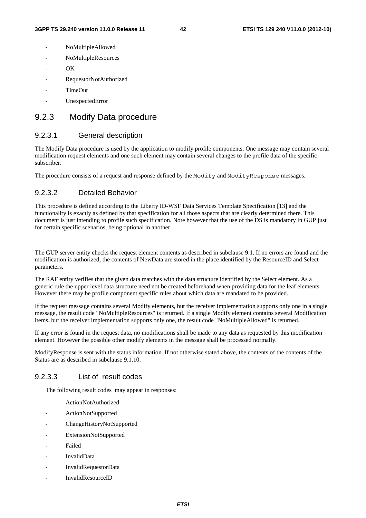- NoMultipleAllowed
- NoMultipleResources
- $OK$
- RequestorNotAuthorized
- TimeOut
- UnexpectedError

# 9.2.3 Modify Data procedure

### 9.2.3.1 General description

The Modify Data procedure is used by the application to modify profile components. One message may contain several modification request elements and one such element may contain several changes to the profile data of the specific subscriber.

The procedure consists of a request and response defined by the Modify and ModifyResponse messages.

### 9.2.3.2 Detailed Behavior

This procedure is defined according to the Liberty ID-WSF Data Services Template Specification [13] and the functionality is exactly as defined by that specification for all those aspects that are clearly determined there. This document is just intending to profile such specification. Note however that the use of the DS is mandatory in GUP just for certain specific scenarios, being optional in another.

The GUP server entity checks the request element contents as described in subclause 9.1. If no errors are found and the modification is authorized, the contents of NewData are stored in the place identified by the ResourceID and Select parameters.

The RAF entity verifies that the given data matches with the data structure identified by the Select element. As a generic rule the upper level data structure need not be created beforehand when providing data for the leaf elements. However there may be profile component specific rules about which data are mandated to be provided.

If the request message contains several Modify elements, but the receiver implementation supports only one in a single message, the result code "NoMultipleResources" is returned. If a single Modify element contains several Modification items, but the receiver implementation supports only one, the result code "NoMultipleAllowed" is returned.

If any error is found in the request data, no modifications shall be made to any data as requested by this modification element. However the possible other modify elements in the message shall be processed normally.

ModifyResponse is sent with the status information. If not otherwise stated above, the contents of the contents of the Status are as described in subclause 9.1.10.

### 9.2.3.3 List of result codes

- ActionNotAuthorized
- ActionNotSupported
- ChangeHistoryNotSupported
- ExtensionNotSupported
- Failed
- InvalidData
- InvalidRequestorData
- InvalidResourceID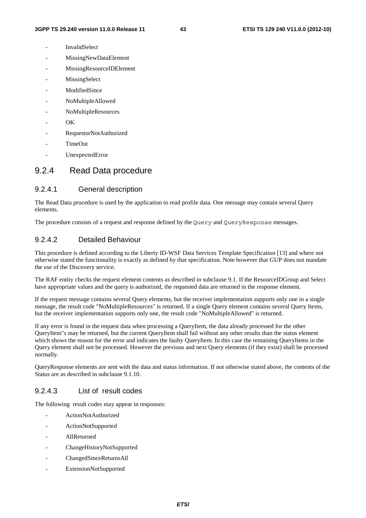- **InvalidSelect**
- MissingNewDataElement
- MissingResourceIDElement
- **MissingSelect**
- ModifiedSince
- NoMultipleAllowed
- NoMultipleResources
- $OK$
- RequestorNotAuthorized
- TimeOut
- UnexpectedError

## 9.2.4 Read Data procedure

### 9.2.4.1 General description

The Read Data procedure is used by the application to read profile data. One message may contain several Query elements.

The procedure consists of a request and response defined by the Query and QueryResponse messages.

## 9.2.4.2 Detailed Behaviour

This procedure is defined according to the Liberty ID-WSF Data Services Template Specification [13] and where not otherwise stated the functionality is exactly as defined by that specification. Note however that GUP does not mandate the use of the Discovery service.

The RAF entity checks the request element contents as described in subclause 9.1. If the ResourceIDGroup and Select have appropriate values and the query is authorized, the requested data are returned in the response element.

If the request message contains several Query elements, but the receiver implementation supports only one in a single message, the result code "NoMultipleResources" is returned. If a single Query element contains several Query Items, but the receiver implementation supports only one, the result code "NoMultipleAllowed" is returned.

If any error is found in the request data when processing a QueryItem, the data already processed for the other QueryItem"s may be returned, but the current QueryItem shall fail without any other results than the status element which shows the reason for the error and indicates the faulty QueryItem. In this case the remaining QueryItems in the Query element shall not be processed. However the previous and next Query elements (if they exist) shall be processed normally.

QueryResponse elements are sent with the data and status information. If not otherwise stated above, the contents of the Status are as described in subclause 9.1.10.

### 9.2.4.3 List of result codes

- ActionNotAuthorized
- ActionNotSupported
- AllReturned
- ChangeHistoryNotSupported
- ChangedSinceReturnsAll
- ExtensionNotSupported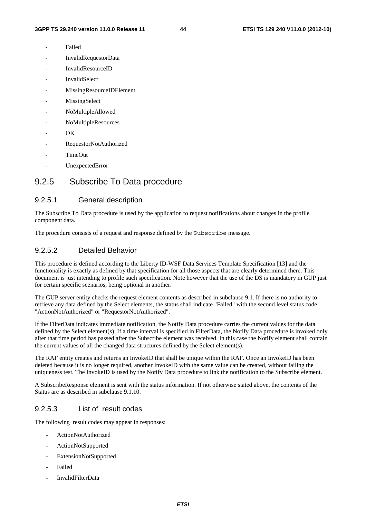- **Failed**
- InvalidRequestorData
- InvalidResourceID
- **InvalidSelect**
- MissingResourceIDElement
- **MissingSelect**
- NoMultipleAllowed
- NoMultipleResources
- $\overline{OK}$
- RequestorNotAuthorized
- TimeOut
- UnexpectedError

# 9.2.5 Subscribe To Data procedure

### 9.2.5.1 General description

The Subscribe To Data procedure is used by the application to request notifications about changes in the profile component data.

The procedure consists of a request and response defined by the Subscribe message.

### 9.2.5.2 Detailed Behavior

This procedure is defined according to the Liberty ID-WSF Data Services Template Specification [13] and the functionality is exactly as defined by that specification for all those aspects that are clearly determined there. This document is just intending to profile such specification. Note however that the use of the DS is mandatory in GUP just for certain specific scenarios, being optional in another.

The GUP server entity checks the request element contents as described in subclause 9.1. If there is no authority to retrieve any data defined by the Select elements, the status shall indicate "Failed" with the second level status code "ActionNotAuthorized" or "RequestorNotAuthorized".

If the FilterData indicates immediate notification, the Notify Data procedure carries the current values for the data defined by the Select element(s). If a time interval is specified in FilterData, the Notify Data procedure is invoked only after that time period has passed after the Subscribe element was received. In this case the Notify element shall contain the current values of all the changed data structures defined by the Select element(s).

The RAF entity creates and returns an InvokeID that shall be unique within the RAF. Once an InvokeID has been deleted because it is no longer required, another InvokeID with the same value can be created, without failing the uniqueness test. The InvokeID is used by the Notify Data procedure to link the notification to the Subscribe element.

A SubscribeResponse element is sent with the status information. If not otherwise stated above, the contents of the Status are as described in subclause 9.1.10.

### 9.2.5.3 List of result codes

- ActionNotAuthorized
- ActionNotSupported
- ExtensionNotSupported
- **Failed**
- InvalidFilterData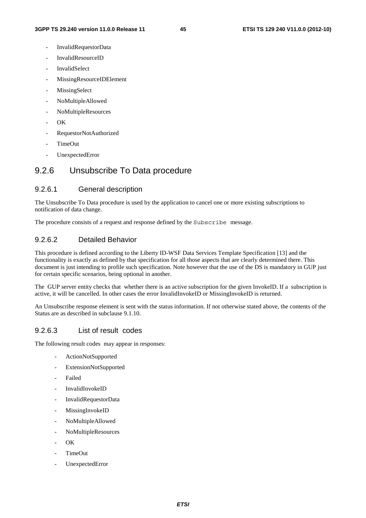- InvalidRequestorData
- InvalidResourceID
- **InvalidSelect**
- MissingResourceIDElement
- MissingSelect
- NoMultipleAllowed
- NoMultipleResources
- $OK$
- RequestorNotAuthorized
- TimeOut
- UnexpectedError

## 9.2.6 Unsubscribe To Data procedure

### 9.2.6.1 General description

The Unsubscribe To Data procedure is used by the application to cancel one or more existing subscriptions to notification of data change.

The procedure consists of a request and response defined by the Subscribe message.

## 9.2.6.2 Detailed Behavior

This procedure is defined according to the Liberty ID-WSF Data Services Template Specification [13] and the functionality is exactly as defined by that specification for all those aspects that are clearly determined there. This document is just intending to profile such specification. Note however that the use of the DS is mandatory in GUP just for certain specific scenarios, being optional in another.

The GUP server entity checks that whether there is an active subscription for the given InvokeID. If a subscription is active, it will be cancelled. In other cases the error InvalidInvokeID or MissingInvokeID is returned.

An Unsubscribe response element is sent with the status information. If not otherwise stated above, the contents of the Status are as described in subclause 9.1.10.

### 9.2.6.3 List of result codes

- ActionNotSupported
- ExtensionNotSupported
- **Failed**
- InvalidInvokeID
- InvalidRequestorData
- MissingInvokeID
- NoMultipleAllowed
- NoMultipleResources
- $\overline{\text{OK}}$
- TimeOut
- UnexpectedError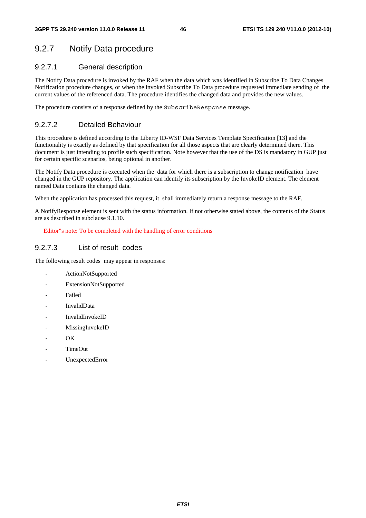# 9.2.7 Notify Data procedure

## 9.2.7.1 General description

The Notify Data procedure is invoked by the RAF when the data which was identified in Subscribe To Data Changes Notification procedure changes, or when the invoked Subscribe To Data procedure requested immediate sending of the current values of the referenced data. The procedure identifies the changed data and provides the new values.

The procedure consists of a response defined by the SubscribeResponse message.

# 9.2.7.2 Detailed Behaviour

This procedure is defined according to the Liberty ID-WSF Data Services Template Specification [13] and the functionality is exactly as defined by that specification for all those aspects that are clearly determined there. This document is just intending to profile such specification. Note however that the use of the DS is mandatory in GUP just for certain specific scenarios, being optional in another.

The Notify Data procedure is executed when the data for which there is a subscription to change notification have changed in the GUP repository. The application can identify its subscription by the InvokeID element. The element named Data contains the changed data.

When the application has processed this request, it shall immediately return a response message to the RAF.

A NotifyResponse element is sent with the status information. If not otherwise stated above, the contents of the Status are as described in subclause 9.1.10.

Editor"s note: To be completed with the handling of error conditions

## 9.2.7.3 List of result codes

- ActionNotSupported
- ExtensionNotSupported
- **Failed**
- InvalidData
- InvalidInvokeID
- MissingInvokeID
- OK
- TimeOut
- UnexpectedError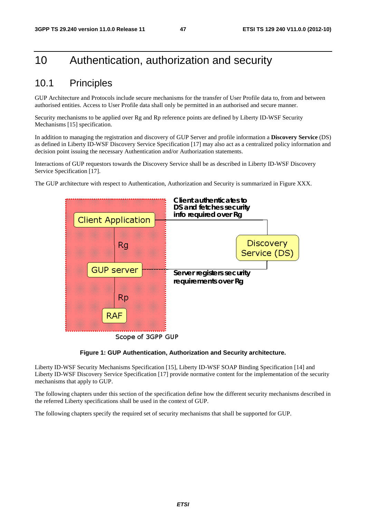# 10 Authentication, authorization and security

# 10.1 Principles

GUP Architecture and Protocols include secure mechanisms for the transfer of User Profile data to, from and between authorised entities. Access to User Profile data shall only be permitted in an authorised and secure manner.

Security mechanisms to be applied over Rg and Rp reference points are defined by Liberty ID-WSF Security Mechanisms [15] specification.

In addition to managing the registration and discovery of GUP Server and profile information a **Discovery Service** (DS) as defined in Liberty ID-WSF Discovery Service Specification [17] may also act as a centralized policy information and decision point issuing the necessary Authentication and/or Authorization statements.

Interactions of GUP requestors towards the Discovery Service shall be as described in Liberty ID-WSF Discovery Service Specification [17].

The GUP architecture with respect to Authentication, Authorization and Security is summarized in Figure XXX.



#### **Figure 1: GUP Authentication, Authorization and Security architecture.**

Liberty ID-WSF Security Mechanisms Specification [15], Liberty ID-WSF SOAP Binding Specification [14] and Liberty ID-WSF Discovery Service Specification [17] provide normative content for the implementation of the security mechanisms that apply to GUP.

The following chapters under this section of the specification define how the different security mechanisms described in the referred Liberty specifications shall be used in the context of GUP.

The following chapters specify the required set of security mechanisms that shall be supported for GUP.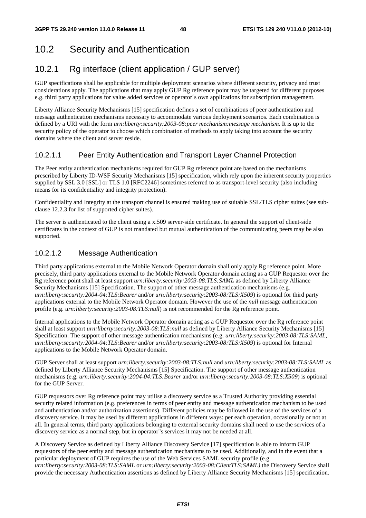# 10.2 Security and Authentication

# 10.2.1 Rg interface (client application / GUP server)

GUP specifications shall be applicable for multiple deployment scenarios where different security, privacy and trust considerations apply. The applications that may apply GUP Rg reference point may be targeted for different purposes e.g. third party applications for value added services or operator´s own applications for subscription management.

Liberty Alliance Security Mechanisms [15] specification defines a set of combinations of peer authentication and message authentication mechanisms necessary to accommodate various deployment scenarios. Each combination is defined by a URI with the form *urn:liberty:security:2003-08:peer mechanism:message mechanism*. It is up to the security policy of the operator to choose which combination of methods to apply taking into account the security domains where the client and server reside.

# 10.2.1.1 Peer Entity Authentication and Transport Layer Channel Protection

The Peer entity authentication mechanisms required for GUP Rg reference point are based on the mechanisms prescribed by Liberty ID-WSF Security Mechanisms [15] specification, which rely upon the inherent security properties supplied by SSL 3.0 [SSL] or TLS 1.0 [RFC2246] sometimes referred to as transport-level security (also including means for its confidentiality and integrity protection).

Confidentiality and Integrity at the transport channel is ensured making use of suitable SSL/TLS cipher suites (see subclause 12.2.3 for list of supported cipher suites).

The server is authenticated to the client using a x.509 server-side certificate. In general the support of client-side certificates in the context of GUP is not mandated but mutual authentication of the communicating peers may be also supported.

## 10.2.1.2 Message Authentication

Third party applications external to the Mobile Network Operator domain shall only apply Rg reference point. More precisely, third party applications external to the Mobile Network Operator domain acting as a GUP Requestor over the Rg reference point shall at least support *urn:liberty:security:2003-08:TLS:SAML* as defined by Liberty Alliance Security Mechanisms [15] Specification. The support of other message authentication mechanisms (e.g. *urn:liberty:security:2004-04:TLS:Bearer* and/or *urn:liberty:security:2003-08:TLS:X509*) is optional for third party applications external to the Mobile Network Operator domain. However the use of the *null* message authentication profile (e.g. *urn:liberty:security:2003-08:TLS:null*) is not recommended for the Rg reference point.

Internal applications to the Mobile Network Operator domain acting as a GUP Requestor over the Rg reference point shall at least support *urn:liberty:security:2003-08:TLS:null* as defined by Liberty Alliance Security Mechanisms [15] Specification. The support of other message authentication mechanisms (e.g. *urn:liberty:security:2003-08:TLS:SAML*, *urn:liberty:security:2004-04:TLS:Bearer* and/or *urn:liberty:security:2003-08:TLS:X509*) is optional for Internal applications to the Mobile Network Operator domain.

GUP Server shall at least support *urn:liberty:security:2003-08:TLS:null* and *urn:liberty:security:2003-08:TLS:SAML* as defined by Liberty Alliance Security Mechanisms [15] Specification. The support of other message authentication mechanisms (e.g. *urn:liberty:security:2004-04:TLS:Bearer* and/or *urn:liberty:security:2003-08:TLS:X509*) is optional for the GUP Server.

GUP requestors over Rg reference point may utilise a discovery service as a Trusted Authority providing essential security related information (e.g. preferences in terms of peer entity and message authentication mechanism to be used and authentication and/or authorization assertions). Different policies may be followed in the use of the services of a discovery service. It may be used by different applications in different ways: per each operation, occasionally or not at all. In general terms, third party applications belonging to external security domains shall need to use the services of a discovery service as a normal step, but in operator"s services it may not be needed at all.

A Discovery Service as defined by Liberty Alliance Discovery Service [17] specification is able to inform GUP requestors of the peer entity and message authentication mechanisms to be used. Additionally, and in the event that a particular deployment of GUP requires the use of the Web Services SAML security profile (e.g. *urn:liberty:security:2003-08:TLS:SAML* or *urn:liberty:security:2003-08:ClientTLS:SAML)* the Discovery Service shall provide the necessary Authentication assertions as defined by Liberty Alliance Security Mechanisms [15] specification.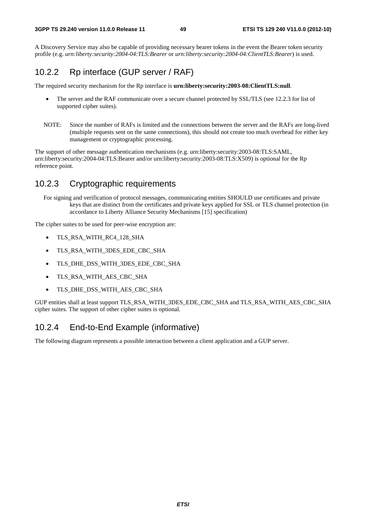A Discovery Service may also be capable of providing necessary bearer tokens in the event the Bearer token security profile (e.g. *urn:liberty:security:2004-04:TLS:Bearer* or *urn:liberty:security:2004-04:ClientTLS:Bearer*) is used.

# 10.2.2 Rp interface (GUP server / RAF)

The required security mechanism for the Rp interface is **urn:liberty:security:2003-08:ClientTLS:null**.

- The server and the RAF communicate over a secure channel protected by SSL/TLS (see 12.2.3 for list of supported cipher suites).
- NOTE: Since the number of RAFs is limited and the connections between the server and the RAFs are long-lived (multiple requests sent on the same connections), this should not create too much overhead for either key management or cryptographic processing.

The support of other message authentication mechanisms (e.g. urn:liberty:security:2003-08:TLS:SAML, urn:liberty:security:2004-04:TLS:Bearer and/or urn:liberty:security:2003-08:TLS:X509) is optional for the Rp reference point.

# 10.2.3 Cryptographic requirements

For signing and verification of protocol messages, communicating entities SHOULD use certificates and private keys that are distinct from the certificates and private keys applied for SSL or TLS channel protection (in accordance to Liberty Alliance Security Mechanisms [15] specification)

The cipher suites to be used for peer-wise encryption are:

- TLS\_RSA\_WITH\_RC4\_128\_SHA
- TLS\_RSA\_WITH\_3DES\_EDE\_CBC\_SHA
- TLS\_DHE\_DSS\_WITH\_3DES\_EDE\_CBC\_SHA
- TLS\_RSA\_WITH\_AES\_CBC\_SHA
- TLS\_DHE\_DSS\_WITH\_AES\_CBC\_SHA

GUP entities shall at least support TLS\_RSA\_WITH\_3DES\_EDE\_CBC\_SHA and TLS\_RSA\_WITH\_AES\_CBC\_SHA cipher suites. The support of other cipher suites is optional.

# 10.2.4 End-to-End Example (informative)

The following diagram represents a possible interaction between a client application and a GUP server.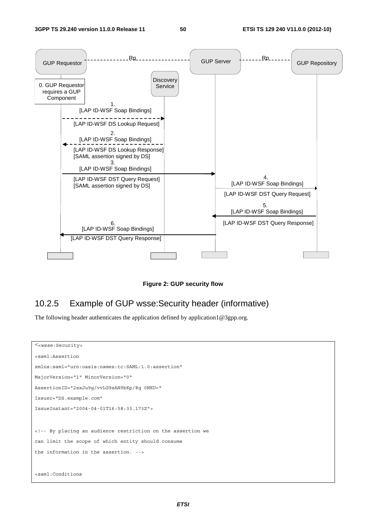

**Figure 2: GUP security flow** 

# 10.2.5 Example of GUP wsse:Security header (informative)

The following header authenticates the application defined by application1@3gpp.org.

```
<<wsse:Security> 
<saml:Assertion 
xmlns:saml="urn:oasis:names:tc:SAML:1.0:assertion" 
MajorVersion="1" MinorVersion="0" 
AssertionID="2sxJu9g/vvLG9sAN9bKp/8q 0NKU=" 
Issuer="DS.example.com" 
IssueInstant="2004-04-01T16:58:33.173Z"> 
<!-- By placing an audience restriction on the assertion we 
can limit the scope of which entity should consume 
the information in the assertion. --> 
<saml:Conditions
```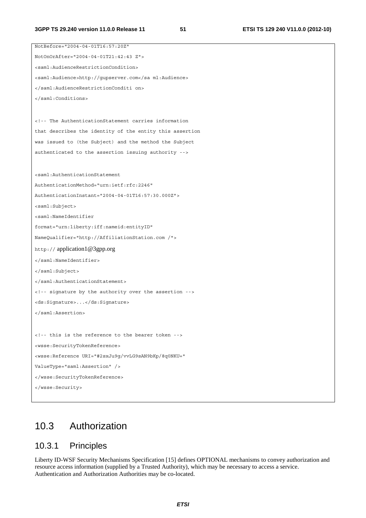```
NotBefore="2004-04-01T16:57:20Z" 
NotOnOrAfter="2004-04-01T21:42:43 Z"> 
<saml:AudienceRestrictionCondition> 
<saml:Audience>http://gupserver.com</sa ml:Audience> 
</saml:AudienceRestrictionConditi on> 
</saml:Conditions> 
<!-- The AuthenticationStatement carries information 
that describes the identity of the entity this assertion 
was issued to (the Subject) and the method the Subject 
authenticated to the assertion issuing authority --> 
<saml:AuthenticationStatement 
AuthenticationMethod="urn:ietf:rfc:2246" 
AuthenticationInstant="2004-04-01T16:57:30.000Z"> 
<saml:Subject> 
<saml:NameIdentifier 
format="urn:liberty:iff:nameid:entityID" 
NameQualifier="http://AffiliationStation.com /"> 
http:// application1@3gpp.org 
</saml:NameIdentifier> 
</saml:Subject> 
</saml:AuthenticationStatement> 
<!-- signature by the authority over the assertion --> 
<ds:Signature>...</ds:Signature> 
</saml:Assertion> 
<!-- this is the reference to the bearer token --> 
<wsse:SecurityTokenReference> 
<wsse:Reference URI="#2sxJu9g/vvLG9sAN9bKp/8q0NKU=" 
ValueType="saml:Assertion" /> 
</wsse:SecurityTokenReference> 
</wsse:Security>
```
# 10.3 Authorization

## 10.3.1 Principles

Liberty ID-WSF Security Mechanisms Specification [15] defines OPTIONAL mechanisms to convey authorization and resource access information (supplied by a Trusted Authority), which may be necessary to access a service. Authentication and Authorization Authorities may be co-located.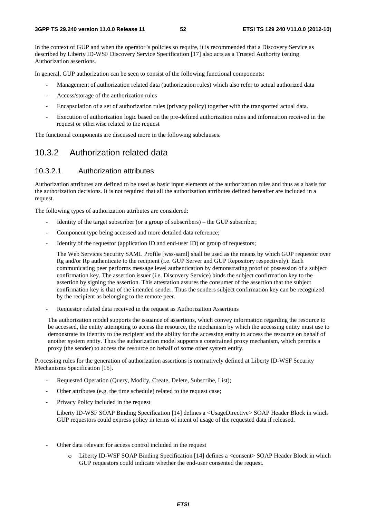In the context of GUP and when the operator"s policies so require, it is recommended that a Discovery Service as described by Liberty ID-WSF Discovery Service Specification [17] also acts as a Trusted Authority issuing Authorization assertions.

In general, GUP authorization can be seen to consist of the following functional components:

- Management of authorization related data (authorization rules) which also refer to actual authorized data
- Access/storage of the authorization rules
- Encapsulation of a set of authorization rules (privacy policy) together with the transported actual data.
- Execution of authorization logic based on the pre-defined authorization rules and information received in the request or otherwise related to the request

The functional components are discussed more in the following subclauses.

## 10.3.2 Authorization related data

#### 10.3.2.1 Authorization attributes

Authorization attributes are defined to be used as basic input elements of the authorization rules and thus as a basis for the authorization decisions. It is not required that all the authorization attributes defined hereafter are included in a request.

The following types of authorization attributes are considered:

- Identity of the target subscriber (or a group of subscribers) the GUP subscriber;
- Component type being accessed and more detailed data reference;
- Identity of the requestor (application ID and end-user ID) or group of requestors;

The Web Services Security SAML Profile [wss-saml] shall be used as the means by which GUP requestor over Rg and/or Rp authenticate to the recipient (i.e. GUP Server and GUP Repository respectively). Each communicating peer performs message level authentication by demonstrating proof of possession of a subject confirmation key. The assertion issuer (i.e. Discovery Service) binds the subject confirmation key to the assertion by signing the assertion. This attestation assures the consumer of the assertion that the subject confirmation key is that of the intended sender. Thus the senders subject confirmation key can be recognized by the recipient as belonging to the remote peer.

- Requestor related data received in the request as Authorization Assertions

The authorization model supports the issuance of assertions, which convey information regarding the resource to be accessed, the entity attempting to access the resource, the mechanism by which the accessing entity must use to demonstrate its identity to the recipient and the ability for the accessing entity to access the resource on behalf of another system entity. Thus the authorization model supports a constrained proxy mechanism, which permits a proxy (the sender) to access the resource on behalf of some other system entity.

Processing rules for the generation of authorization assertions is normatively defined at Liberty ID-WSF Security Mechanisms Specification [15].

- Requested Operation (Query, Modify, Create, Delete, Subscribe, List);
- Other attributes (e.g. the time schedule) related to the request case;
- Privacy Policy included in the request

Liberty ID-WSF SOAP Binding Specification [14] defines a <UsageDirective> SOAP Header Block in which GUP requestors could express policy in terms of intent of usage of the requested data if released.

- Other data relevant for access control included in the request
	- o Liberty ID-WSF SOAP Binding Specification [14] defines a <consent> SOAP Header Block in which GUP requestors could indicate whether the end-user consented the request.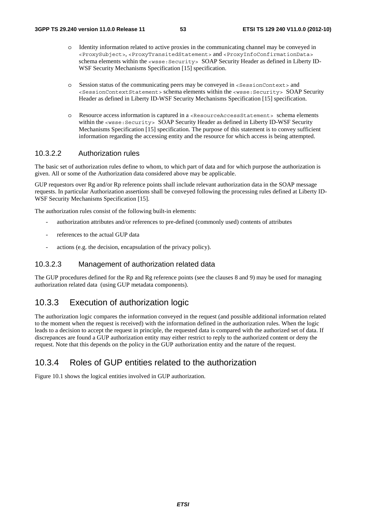- o Identity information related to active proxies in the communicating channel may be conveyed in <ProxySubject>, <ProxyTransitedStatement> and <ProxyInfoConfirmationData> schema elements within the <wsse: Security> SOAP Security Header as defined in Liberty ID-WSF Security Mechanisms Specification [15] specification.
- $\circ$  Session status of the communicating peers may be conveyed in <SessionContext > and <SessionContextStatement> schema elements within the <wsse:Security> SOAP Security Header as defined in Liberty ID-WSF Security Mechanisms Specification [15] specification.
- Resource access information is captured in a <ResourceAccessStatement> schema elements within the <wsse: Security> SOAP Security Header as defined in Liberty ID-WSF Security Mechanisms Specification [15] specification. The purpose of this statement is to convey sufficient information regarding the accessing entity and the resource for which access is being attempted.

### 10.3.2.2 Authorization rules

The basic set of authorization rules define to whom, to which part of data and for which purpose the authorization is given. All or some of the Authorization data considered above may be applicable.

GUP requestors over Rg and/or Rp reference points shall include relevant authorization data in the SOAP message requests. In particular Authorization assertions shall be conveyed following the processing rules defined at Liberty ID-WSF Security Mechanisms Specification [15].

The authorization rules consist of the following built-in elements:

- authorization attributes and/or references to pre-defined (commonly used) contents of attributes
- references to the actual GUP data
- actions (e.g. the decision, encapsulation of the privacy policy).

#### 10.3.2.3 Management of authorization related data

The GUP procedures defined for the Rp and Rg reference points (see the clauses 8 and 9) may be used for managing authorization related data (using GUP metadata components).

## 10.3.3 Execution of authorization logic

The authorization logic compares the information conveyed in the request (and possible additional information related to the moment when the request is received) with the information defined in the authorization rules. When the logic leads to a decision to accept the request in principle, the requested data is compared with the authorized set of data. If discrepances are found a GUP authorization entity may either restrict to reply to the authorized content or deny the request. Note that this depends on the policy in the GUP authorization entity and the nature of the request.

# 10.3.4 Roles of GUP entities related to the authorization

Figure 10.1 shows the logical entities involved in GUP authorization.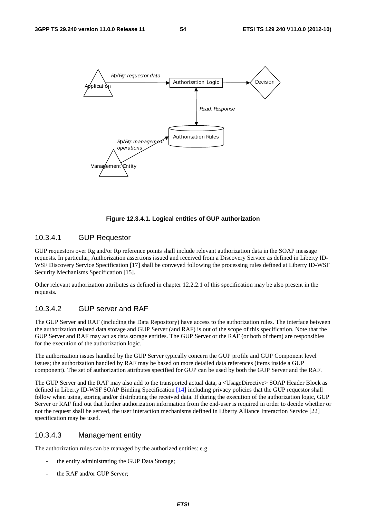



#### 10.3.4.1 GUP Requestor

GUP requestors over Rg and/or Rp reference points shall include relevant authorization data in the SOAP message requests. In particular, Authorization assertions issued and received from a Discovery Service as defined in Liberty ID-WSF Discovery Service Specification [17] shall be conveyed following the processing rules defined at Liberty ID-WSF Security Mechanisms Specification [15].

Other relevant authorization attributes as defined in chapter 12.2.2.1 of this specification may be also present in the requests.

## 10.3.4.2 GUP server and RAF

The GUP Server and RAF (including the Data Repository) have access to the authorization rules. The interface between the authorization related data storage and GUP Server (and RAF) is out of the scope of this specification. Note that the GUP Server and RAF may act as data storage entities. The GUP Server or the RAF (or both of them) are responsibles for the execution of the authorization logic.

The authorization issues handled by the GUP Server typically concern the GUP profile and GUP Component level issues; the authorization handled by RAF may be based on more detailed data references (items inside a GUP component). The set of authorization attributes specified for GUP can be used by both the GUP Server and the RAF.

The GUP Server and the RAF may also add to the transported actual data, a <UsageDirective> SOAP Header Block as defined in Liberty ID-WSF SOAP Binding Specification [14] including privacy policies that the GUP requestor shall follow when using, storing and/or distributing the received data. If during the execution of the authorization logic, GUP Server or RAF find out that further authorization information from the end-user is required in order to decide whether or not the request shall be served, the user interaction mechanisms defined in Liberty Alliance Interaction Service [22] specification may be used.

### 10.3.4.3 Management entity

The authorization rules can be managed by the authorized entities: e.g

- the entity administrating the GUP Data Storage;
- the RAF and/or GUP Server: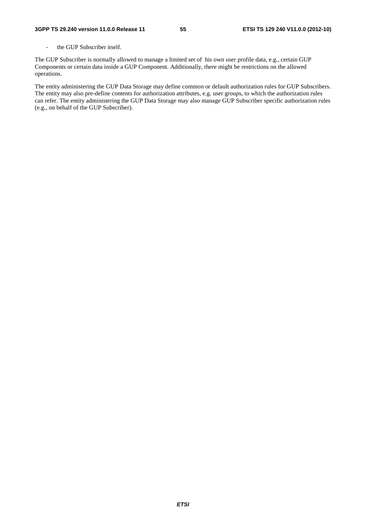- the GUP Subscriber itself.

The GUP Subscriber is normally allowed to manage a limited set of his own user profile data, e.g., certain GUP Components or certain data inside a GUP Component. Additionally, there might be restrictions on the allowed operations.

The entity administering the GUP Data Storage may define common or default authorization rules for GUP Subscribers. The entity may also pre-define contents for authorization attributes, e.g. user groups, to which the authorization rules can refer. The entity administering the GUP Data Storage may also manage GUP Subscriber specific authorization rules (e.g., on behalf of the GUP Subscriber).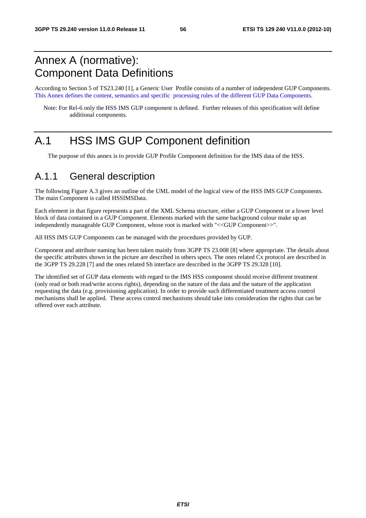# Annex A (normative): Component Data Definitions

According to Section 5 of TS23.240 [1], a Generic User Profile consists of a number of independent GUP Components. This Annex defines the content, semantics and specific processing rules of the different GUP Data Components.

Note: For Rel-6 only the HSS IMS GUP component is defined. Further releases of this specification will define additional components.

# A.1 HSS IMS GUP Component definition

The purpose of this annex is to provide GUP Profile Component definition for the IMS data of the HSS.

# A.1.1 General description

The following Figure A.3 gives an outline of the UML model of the logical view of the HSS IMS GUP Components. The main Component is called HSSIMSData.

Each element in that figure represents a part of the XML Schema structure, either a GUP Component or a lower level block of data contained in a GUP Component. Elements marked with the same background colour make up an independently manageable GUP Component, whose root is marked with "<<GUP Component>>".

All HSS IMS GUP Components can be managed with the procedures provided by GUP.

Component and attribute naming has been taken mainly from 3GPP TS 23.008 [8] where appropriate. The details about the specific attributes shown in the picture are described in others specs. The ones related Cx protocol are described in the 3GPP TS 29.228 [7] and the ones related Sh interface are described in the 3GPP TS 29.328 [10].

The identified set of GUP data elements with regard to the IMS HSS component should receive different treatment (only read or both read/write access rights), depending on the nature of the data and the nature of the application requesting the data (e.g. provisioning application). In order to provide such differentiated treatment access control mechanisms shall be applied. These access control mechanisms should take into consideration the rights that can be offered over each attribute.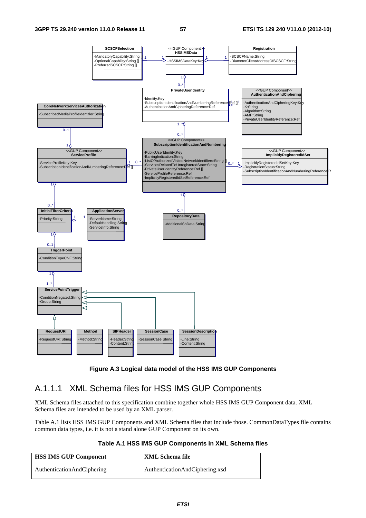

### **Figure A.3 Logical data model of the HSS IMS GUP Components**

# A.1.1.1 XML Schema files for HSS IMS GUP Components

XML Schema files attached to this specification combine together whole HSS IMS GUP Component data. XML Schema files are intended to be used by an XML parser.

Table A.1 lists HSS IMS GUP Components and XML Schema files that include those. CommonDataTypes file contains common data types, i.e. it is not a stand alone GUP Component on its own.

#### **Table A.1 HSS IMS GUP Components in XML Schema files**

| <b>HSS IMS GUP Component</b> | XML Schema file                |
|------------------------------|--------------------------------|
| AuthenticationAndCiphering   | AuthenticationAndCiphering.xsd |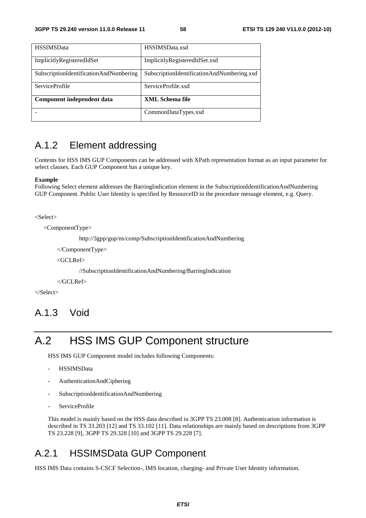| <b>HSSIMSData</b>                      | HSSIMSData.xsd                             |
|----------------------------------------|--------------------------------------------|
| ImplicitlyRegisteredIdSet              | ImplicitlyRegisteredIdSet.xsd              |
| SubscriptionIdentificationAndNumbering | SubscriptionIdentificationAndNumbering.xsd |
|                                        |                                            |
| <b>ServiceProfile</b>                  | ServiceProfile.xsd                         |
| Component independent data             | <b>XML Schema file</b>                     |
|                                        | CommonDataTypes.xsd                        |

# A.1.2 Element addressing

Contents for HSS IMS GUP Components can be addressed with XPath representation format as an input parameter for select clauses. Each GUP Component has a unique key.

#### **Example**

Following Select element addresses the BarringIndication element in the SubscriptionIdentificationAndNumbering GUP Component. Public User Identity is specified by ResourceID in the procedure message element, e.g. Query.

<Select>

<ComponentType>

http://3gpp/gup/ns/comp/SubscriptionIdentificationAndNumbering

</ComponentType>

<GCLRef>

//SubscriptionIdentificationAndNumbering/BarringIndication

</GCLRef>

</Select>

# A.1.3 Void

# A.2 HSS IMS GUP Component structure

HSS IMS GUP Component model includes following Components:

- HSSIMSData
- AuthenticationAndCiphering
- SubscriptionIdentificationAndNumbering
- ServiceProfile

This model is mainly based on the HSS data described in 3GPP TS 23.008 [8]. Authentication information is described in TS 33.203 [12] and TS 33.102 [11]. Data relationships are mainly based on descriptions from 3GPP TS 23.228 [9], 3GPP TS 29.328 [10] and 3GPP TS 29.228 [7].

# A.2.1 HSSIMSData GUP Component

HSS IMS Data contains S-CSCF Selection-, IMS location, charging- and Private User Identity information.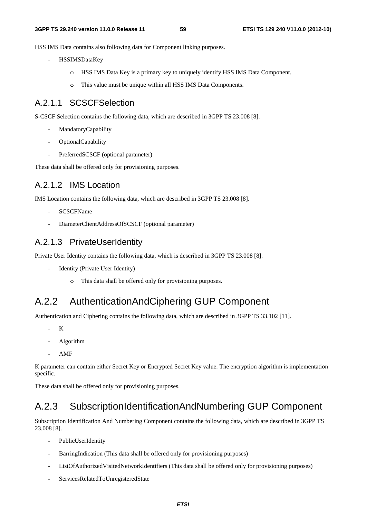HSS IMS Data contains also following data for Component linking purposes.

- HSSIMSDataKey
	- o HSS IMS Data Key is a primary key to uniquely identify HSS IMS Data Component.
	- o This value must be unique within all HSS IMS Data Components.

# A.2.1.1 SCSCFSelection

S-CSCF Selection contains the following data, which are described in 3GPP TS 23.008 [8].

- MandatoryCapability
- OptionalCapability
- PreferredSCSCF (optional parameter)

These data shall be offered only for provisioning purposes.

# A.2.1.2 IMS Location

IMS Location contains the following data, which are described in 3GPP TS 23.008 [8].

- SCSCFName
- DiameterClientAddressOfSCSCF (optional parameter)

# A.2.1.3 PrivateUserIdentity

Private User Identity contains the following data, which is described in 3GPP TS 23.008 [8].

- Identity (Private User Identity)
	- This data shall be offered only for provisioning purposes.

# A.2.2 AuthenticationAndCiphering GUP Component

Authentication and Ciphering contains the following data, which are described in 3GPP TS 33.102 [11].

- $\mathbf K$
- Algorithm
- AMF

K parameter can contain either Secret Key or Encrypted Secret Key value. The encryption algorithm is implementation specific.

These data shall be offered only for provisioning purposes.

# A.2.3 SubscriptionIdentificationAndNumbering GUP Component

Subscription Identification And Numbering Component contains the following data, which are described in 3GPP TS 23.008 [8].

- PublicUserIdentity
- BarringIndication (This data shall be offered only for provisioning purposes)
- ListOfAuthorizedVisitedNetworkIdentifiers (This data shall be offered only for provisioning purposes)
- ServicesRelatedToUnregisteredState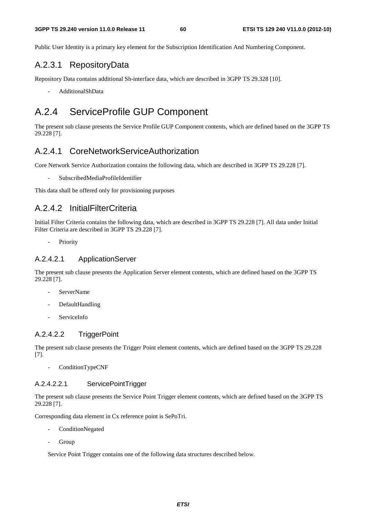Public User Identity is a primary key element for the Subscription Identification And Numbering Component.

# A.2.3.1 RepositoryData

Repository Data contains additional Sh-interface data, which are described in 3GPP TS 29.328 [10].

- AdditionalShData

# A.2.4 ServiceProfile GUP Component

The present sub clause presents the Service Profile GUP Component contents, which are defined based on the 3GPP TS 29.228 [7].

# A.2.4.1 CoreNetworkServiceAuthorization

Core Network Service Authorization contains the following data, which are described in 3GPP TS 29.228 [7].

- SubscribedMediaProfileIdentifier

This data shall be offered only for provisioning purposes

## A.2.4.2 InitialFilterCriteria

Initial Filter Criteria contains the following data, which are described in 3GPP TS 29.228 [7]. All data under Initial Filter Criteria are described in 3GPP TS 29.228 [7].

- Priority

### A.2.4.2.1 ApplicationServer

The present sub clause presents the Application Server element contents, which are defined based on the 3GPP TS 29.228 [7].

- ServerName
- DefaultHandling
- ServiceInfo

### A.2.4.2.2 TriggerPoint

The present sub clause presents the Trigger Point element contents, which are defined based on the 3GPP TS 29.228 [7].

- ConditionTypeCNF

#### A.2.4.2.2.1 ServicePointTrigger

The present sub clause presents the Service Point Trigger element contents, which are defined based on the 3GPP TS 29.228 [7].

Corresponding data element in Cx reference point is SePoTri.

- ConditionNegated
- **Group**

Service Point Trigger contains one of the following data structures described below.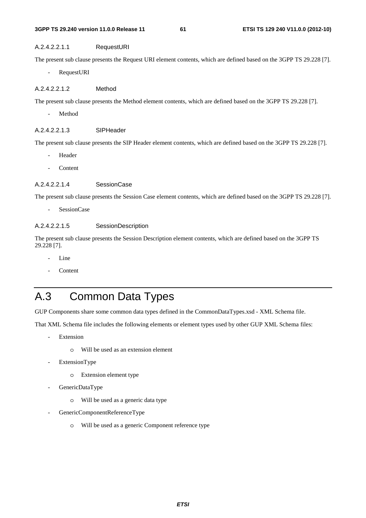#### **3GPP TS 29.240 version 11.0.0 Release 11 61 ETSI TS 129 240 V11.0.0 (2012-10)**

### A.2.4.2.2.1.1 RequestURI

The present sub clause presents the Request URI element contents, which are defined based on the 3GPP TS 29.228 [7].

RequestURI

### A.2.4.2.2.1.2 Method

The present sub clause presents the Method element contents, which are defined based on the 3GPP TS 29.228 [7].

Method

#### A.2.4.2.2.1.3 SIPHeader

The present sub clause presents the SIP Header element contents, which are defined based on the 3GPP TS 29.228 [7].

- **Header**
- **Content**

#### A.2.4.2.2.1.4 SessionCase

The present sub clause presents the Session Case element contents, which are defined based on the 3GPP TS 29.228 [7].

SessionCase

### A.2.4.2.2.1.5 SessionDescription

The present sub clause presents the Session Description element contents, which are defined based on the 3GPP TS 29.228 [7].

- Line
- **Content**

# A.3 Common Data Types

GUP Components share some common data types defined in the CommonDataTypes.xsd - XML Schema file.

That XML Schema file includes the following elements or element types used by other GUP XML Schema files:

- **Extension** 
	- o Will be used as an extension element
- ExtensionType
	- o Extension element type
- GenericDataType
	- o Will be used as a generic data type
- GenericComponentReferenceType
	- o Will be used as a generic Component reference type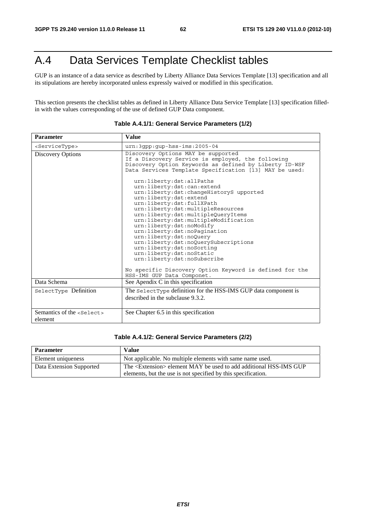# A.4 Data Services Template Checklist tables

GUP is an instance of a data service as described by Liberty Alliance Data Services Template [13] specification and all its stipulations are hereby incorporated unless expressly waived or modified in this specification.

This section presents the checklist tables as defined in Liberty Alliance Data Service Template [13] specification filledin with the values corresponding of the use of defined GUP Data component.

| <b>Parameter</b>                               | <b>Value</b>                                                                                                                                                                                                                                                                                                                                                                                                                                                                                                                                                                                                                                                                                                                                                                                               |
|------------------------------------------------|------------------------------------------------------------------------------------------------------------------------------------------------------------------------------------------------------------------------------------------------------------------------------------------------------------------------------------------------------------------------------------------------------------------------------------------------------------------------------------------------------------------------------------------------------------------------------------------------------------------------------------------------------------------------------------------------------------------------------------------------------------------------------------------------------------|
| <servicetype></servicetype>                    | $urn:3qpp:qp-hss-ims:2005-04$                                                                                                                                                                                                                                                                                                                                                                                                                                                                                                                                                                                                                                                                                                                                                                              |
| Discovery Options                              | Discovery Options MAY be supported<br>If a Discovery Service is employed, the following<br>Discovery Option Keywords as defined by Liberty ID-WSF<br>Data Services Template Specification [13] MAY be used:<br>urn:liberty:dst:allPaths<br>urn:liberty:dst:can:extend<br>urn:liberty:dst:changeHistoryS upported<br>urn:liberty:dst:extend<br>urn:liberty:dst:fullXPath<br>urn:liberty:dst:multipleResources<br>urn:liberty:dst:multipleQueryItems<br>urn:liberty:dst:multipleModification<br>urn:liberty:dst:noModify<br>urn:liberty:dst:noPaqination<br>urn:liberty:dst:noQuery<br>urn:liberty:dst:noQuerySubscriptions<br>urn:liberty:dst:noSorting<br>urn:liberty:dst:noStatic<br>urn:liberty:dst:noSubscribe<br>No specific Discovery Option Keyword is defined for the<br>HSS-IMS GUP Data Componet. |
| Data Schema                                    | See Apendix C in this specification                                                                                                                                                                                                                                                                                                                                                                                                                                                                                                                                                                                                                                                                                                                                                                        |
| SelectType Definition                          | The select Type definition for the HSS-IMS GUP data component is<br>described in the subclause 9.3.2.                                                                                                                                                                                                                                                                                                                                                                                                                                                                                                                                                                                                                                                                                                      |
| Semantics of the <select><br/>element</select> | See Chapter 6.5 in this specification                                                                                                                                                                                                                                                                                                                                                                                                                                                                                                                                                                                                                                                                                                                                                                      |

#### **Table A.4.1/1: General Service Parameters (1/2)**

#### **Table A.4.1/2: General Service Parameters (2/2)**

| <b>Parameter</b>         | <b>Value</b>                                                                  |
|--------------------------|-------------------------------------------------------------------------------|
| Element uniqueness       | Not applicable. No multiple elements with same name used.                     |
| Data Extension Supported | The <extension> element MAY be used to add additional HSS-IMS GUP</extension> |
|                          | elements, but the use is not specified by this specification.                 |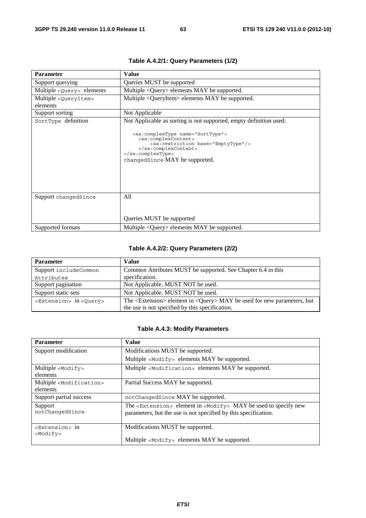| <b>Parameter</b>                              | <b>Value</b>                                                                                                                                                                                                                                                           |
|-----------------------------------------------|------------------------------------------------------------------------------------------------------------------------------------------------------------------------------------------------------------------------------------------------------------------------|
| Support querying                              | Queries MUST be supported                                                                                                                                                                                                                                              |
| Multiple <query> elements</query>             | Multiple $\langle$ Query $\rangle$ elements MAY be supported.                                                                                                                                                                                                          |
| Multiple <queryitem><br/>elements</queryitem> | Multiple <queryitem> elements MAY be supported.</queryitem>                                                                                                                                                                                                            |
| Support sorting                               | Not Applicable                                                                                                                                                                                                                                                         |
| SortType definition                           | Not Applicable as sorting is not supported, empty definition used:<br><xs:complextype name="SortType"><br/><xs:complexcontent><br/><xs:restriction base="EmptyType"></xs:restriction><br/></xs:complexcontent><br/></xs:complextype><br>changedSince MAY be supported. |
| Support changedSince                          | All<br>Queries MUST be supported                                                                                                                                                                                                                                       |
| Supported formats                             | Multiple <query> elements MAY be supported.</query>                                                                                                                                                                                                                    |

# **Table A.4.2/1: Query Parameters (1/2)**

# **Table A.4.2/2: Query Parameters (2/2)**

| <b>Parameter</b>                           | <b>Value</b>                                                                                   |
|--------------------------------------------|------------------------------------------------------------------------------------------------|
| Support includeCommon                      | Common Attributes MUST be supported. See Chapter 6.4 in this                                   |
| Attributes                                 | specification.                                                                                 |
| Support pagination                         | Not Applicable. MUST NOT be used.                                                              |
| Support static sets                        | Not Applicable. MUST NOT be used.                                                              |
| <extension> in <query></query></extension> | The $\leq$ Extension $\geq$ element in $\leq$ Query $\geq$ MAY be used for new parameters, but |
|                                            | the use is not specified by this specification.                                                |

### **Table A.4.3: Modify Parameters**

| <b>Parameter</b>                       | <b>Value</b>                                                                        |
|----------------------------------------|-------------------------------------------------------------------------------------|
| Support modification                   | Modifications MUST be supported.                                                    |
|                                        | Multiple <modify> elements MAY be supported.</modify>                               |
| Multiple <modify></modify>             | Multiple <modification> elements MAY be supported.</modification>                   |
| elements                               |                                                                                     |
| Multiple <modification></modification> | Partial Success MAY be supported.                                                   |
| elements                               |                                                                                     |
| Support partial success                | not Changed Since MAY be supported.                                                 |
| Support                                | The <extension> element in <modify> MAY be used to specify new</modify></extension> |
| notChangedSince                        | parameters, but the use is not specified by this specification.                     |
|                                        |                                                                                     |
| <extension> in</extension>             | Modifications MUST be supported.                                                    |
| <modify></modify>                      |                                                                                     |
|                                        | Multiple <modify> elements MAY be supported.</modify>                               |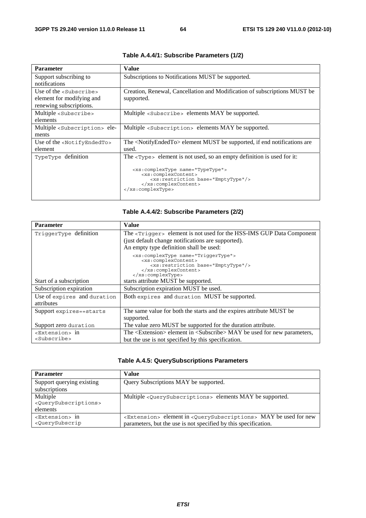| <b>Parameter</b>                            | <b>Value</b>                                                                                                                                                                                              |
|---------------------------------------------|-----------------------------------------------------------------------------------------------------------------------------------------------------------------------------------------------------------|
| Support subscribing to                      | Subscriptions to Notifications MUST be supported.                                                                                                                                                         |
| notifications                               |                                                                                                                                                                                                           |
| Use of the <subscribe></subscribe>          | Creation, Renewal, Cancellation and Modification of subscriptions MUST be                                                                                                                                 |
| element for modifying and                   | supported.                                                                                                                                                                                                |
| renewing subscriptions.                     |                                                                                                                                                                                                           |
| Multiple <subscribe></subscribe>            | Multiple <subscribe> elements MAY be supported.</subscribe>                                                                                                                                               |
| elements                                    |                                                                                                                                                                                                           |
| Multiple <subscription> ele-</subscription> | Multiple <subscription> elements MAY be supported.</subscription>                                                                                                                                         |
| ments                                       |                                                                                                                                                                                                           |
| Use of the <notifyendedto></notifyendedto>  | The <notifyendedto> element MUST be supported, if end notifications are</notifyendedto>                                                                                                                   |
| element                                     | used.                                                                                                                                                                                                     |
| TypeType definition                         | The $\langle \text{Type} \rangle$ element is not used, so an empty definition is used for it:                                                                                                             |
|                                             | <xs:complextype name="TypeType"><br/><xs:complexcontent><br/><xs:restriction base="EmptyType"></xs:restriction><br/></xs:complexcontent><br/><math>\langle xs:complexType \rangle</math></xs:complextype> |

### **Table A.4.4/1: Subscribe Parameters (1/2)**

## **Table A.4.4/2: Subscribe Parameters (2/2)**

| <b>Parameter</b>            | <b>Value</b>                                                                                   |
|-----------------------------|------------------------------------------------------------------------------------------------|
| TriggerType definition      | The <trigger> element is not used for the HSS-IMS GUP Data Component</trigger>                 |
|                             | (just default change notifications are supported).                                             |
|                             | An empty type definition shall be used:                                                        |
|                             | <xs:complextype name="TriqqerType"></xs:complextype>                                           |
|                             | <xs:complexcontent><br/><xs:restriction base="EmptyType"></xs:restriction></xs:complexcontent> |
|                             |                                                                                                |
|                             |                                                                                                |
| Start of a subscription     | starts attribute MUST be supported.                                                            |
| Subscription expiration     | Subscription expiration MUST be used.                                                          |
| Use of expires and duration | Both expires and duration MUST be supported.                                                   |
| attributes                  |                                                                                                |
| Support expires==starts     | The same value for both the starts and the expires attribute MUST be                           |
|                             | supported.                                                                                     |
| Support zero duration       | The value zero MUST be supported for the duration attribute.                                   |
| <extension> in</extension>  | The <extension> element in <subscribe> MAY be used for new parameters,</subscribe></extension> |
| <subscribe></subscribe>     | but the use is not specified by this specification.                                            |

| <b>Parameter</b>                                                                                                                                                                                                                                    | Value                                                                                                                                                                |
|-----------------------------------------------------------------------------------------------------------------------------------------------------------------------------------------------------------------------------------------------------|----------------------------------------------------------------------------------------------------------------------------------------------------------------------|
| Support querying existing<br>subscriptions                                                                                                                                                                                                          | Query Subscriptions MAY be supported.                                                                                                                                |
| Multiple<br><querysubscriptions><br/>elements</querysubscriptions>                                                                                                                                                                                  | Multiple <querysubscriptions> elements MAY be supported.</querysubscriptions>                                                                                        |
| <extension> in<br/><querysubscrip< td=""><td><extension> element in <querysubscriptions> MAY be used for new<br/>parameters, but the use is not specified by this specification.</querysubscriptions></extension></td></querysubscrip<></extension> | <extension> element in <querysubscriptions> MAY be used for new<br/>parameters, but the use is not specified by this specification.</querysubscriptions></extension> |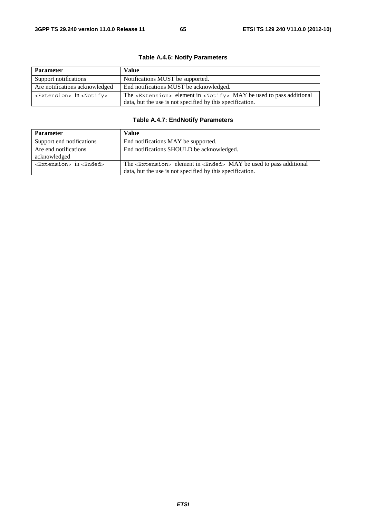| <b>Parameter</b>                             | <b>Value</b>                                                                            |
|----------------------------------------------|-----------------------------------------------------------------------------------------|
| Support notifications                        | Notifications MUST be supported.                                                        |
| Are notifications acknowledged               | End notifications MUST be acknowledged.                                                 |
| <extension> in <notify></notify></extension> | The <extension> element in <notify> MAY be used to pass additional</notify></extension> |
|                                              | data, but the use is not specified by this specification.                               |

## **Table A.4.6: Notify Parameters**

# **Table A.4.7: EndNotify Parameters**

| <b>Parameter</b>                           | <b>Value</b>                                                                                                                                        |
|--------------------------------------------|-----------------------------------------------------------------------------------------------------------------------------------------------------|
| Support end notifications                  | End notifications MAY be supported.                                                                                                                 |
| Are end notifications<br>acknowledged      | End notifications SHOULD be acknowledged.                                                                                                           |
| <extension> in <ended></ended></extension> | The <extension> element in <ended> MAY be used to pass additional<br/>data, but the use is not specified by this specification.</ended></extension> |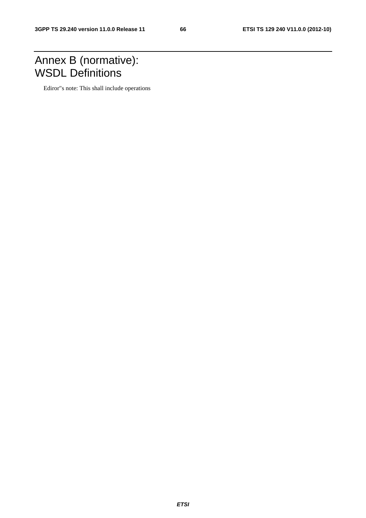# Annex B (normative): WSDL Definitions

Ediror"s note: This shall include operations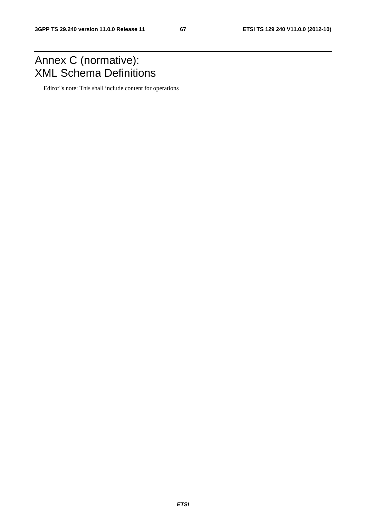# Annex C (normative): XML Schema Definitions

Ediror"s note: This shall include content for operations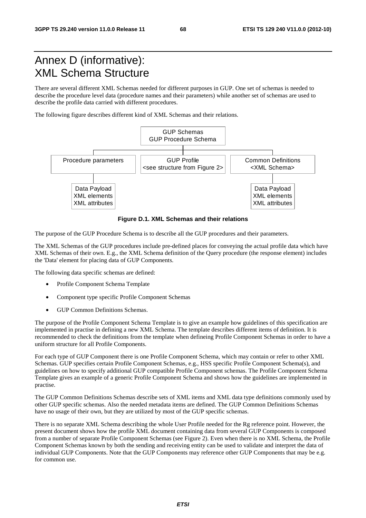# Annex D (informative): XML Schema Structure

There are several different XML Schemas needed for different purposes in GUP. One set of schemas is needed to describe the procedure level data (procedure names and their parameters) while another set of schemas are used to describe the profile data carried with different procedures.

The following figure describes different kind of XML Schemas and their relations.



**Figure D.1. XML Schemas and their relations** 

The purpose of the GUP Procedure Schema is to describe all the GUP procedures and their parameters.

The XML Schemas of the GUP procedures include pre-defined places for conveying the actual profile data which have XML Schemas of their own. E.g., the XML Schema definition of the Query procedure (the response element) includes the 'Data' element for placing data of GUP Components.

The following data specific schemas are defined:

- Profile Component Schema Template
- Component type specific Profile Component Schemas
- GUP Common Definitions Schemas.

The purpose of the Profile Component Schema Template is to give an example how guidelines of this specification are implemented in practise in defining a new XML Schema. The template describes different items of definition. It is recommended to check the definitions from the template when defineing Profile Component Schemas in order to have a uniform structure for all Profile Components.

For each type of GUP Component there is one Profile Component Schema, which may contain or refer to other XML Schemas. GUP specifies certain Profile Component Schemas, e.g., HSS specific Profile Component Schema(s), and guidelines on how to specify additional GUP compatible Profile Component schemas. The Profile Component Schema Template gives an example of a generic Profile Component Schema and shows how the guidelines are implemented in practise.

The GUP Common Definitions Schemas describe sets of XML items and XML data type definitions commonly used by other GUP specific schemas. Also the needed metadata items are defined. The GUP Common Definitions Schemas have no usage of their own, but they are utilized by most of the GUP specific schemas.

There is no separate XML Schema describing the whole User Profile needed for the Rg reference point. However, the present document shows how the profile XML document containing data from several GUP Components is composed from a number of separate Profile Component Schemas (see Figure 2). Even when there is no XML Schema, the Profile Component Schemas known by both the sending and receiving entity can be used to validate and interpret the data of individual GUP Components. Note that the GUP Components may reference other GUP Components that may be e.g. for common use.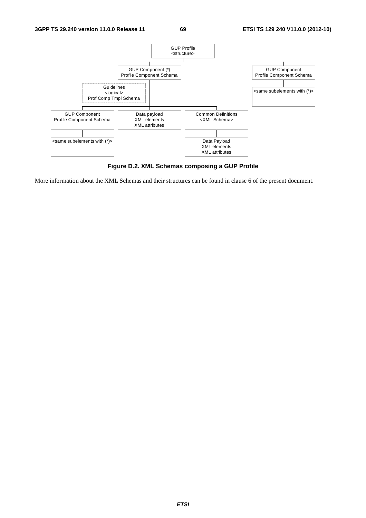

**Figure D.2. XML Schemas composing a GUP Profile** 

More information about the XML Schemas and their structures can be found in clause 6 of the present document.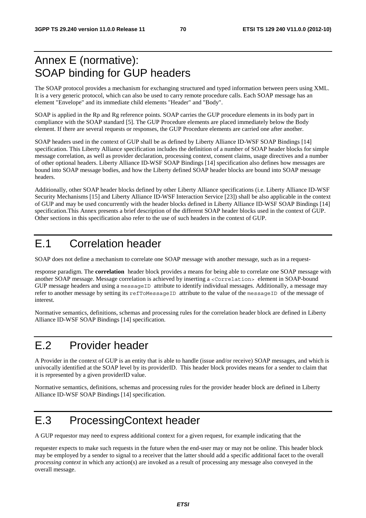# Annex E (normative): SOAP binding for GUP headers

The SOAP protocol provides a mechanism for exchanging structured and typed information between peers using XML. It is a very generic protocol, which can also be used to carry remote procedure calls. Each SOAP message has an element "Envelope" and its immediate child elements "Header" and "Body".

SOAP is applied in the Rp and Rg reference points. SOAP carries the GUP procedure elements in its body part in compliance with the SOAP standard [5]. The GUP Procedure elements are placed immediately below the Body element. If there are several requests or responses, the GUP Procedure elements are carried one after another.

SOAP headers used in the context of GUP shall be as defined by Liberty Alliance ID-WSF SOAP Bindings [14] specification. This Liberty Alliance specification includes the definition of a number of SOAP header blocks for simple message correlation, as well as provider declaration, processing context, consent claims, usage directives and a number of other optional headers. Liberty Alliance ID-WSF SOAP Bindings [14] specification also defines how messages are bound into SOAP message bodies, and how the Liberty defined SOAP header blocks are bound into SOAP message headers.

Additionally, other SOAP header blocks defined by other Liberty Alliance specifications (i.e. Liberty Alliance ID-WSF Security Mechanisms [15] and Liberty Alliance ID-WSF Interaction Service [23]) shall be also applicable in the context of GUP and may be used concurrently with the header blocks defined in Liberty Alliance ID-WSF SOAP Bindings [14] specification.This Annex presents a brief description of the different SOAP header blocks used in the context of GUP. Other sections in this specification also refer to the use of such headers in the context of GUP.

# E.1 Correlation header

SOAP does not define a mechanism to correlate one SOAP message with another message, such as in a request-

response paradigm. The **correlation** header block provides a means for being able to correlate one SOAP message with another SOAP message. Message correlation is achieved by inserting a <Correlation> element in SOAP-bound GUP message headers and using a messageID attribute to identify individual messages. Additionally, a message may refer to another message by setting its refToMessageID attribute to the value of the messageID of the message of interest.

Normative semantics, definitions, schemas and processing rules for the correlation header block are defined in Liberty Alliance ID-WSF SOAP Bindings [14] specification.

# E.2 Provider header

A Provider in the context of GUP is an entity that is able to handle (issue and/or receive) SOAP messages, and which is univocally identified at the SOAP level by its providerID. This header block provides means for a sender to claim that it is represented by a given providerID value.

Normative semantics, definitions, schemas and processing rules for the provider header block are defined in Liberty Alliance ID-WSF SOAP Bindings [14] specification.

# E.3 ProcessingContext header

A GUP requestor may need to express additional context for a given request, for example indicating that the

requester expects to make such requests in the future when the end-user may or may not be online. This header block may be employed by a sender to signal to a receiver that the latter should add a specific additional facet to the overall *processing context* in which any action(s) are invoked as a result of processing any message also conveyed in the overall message.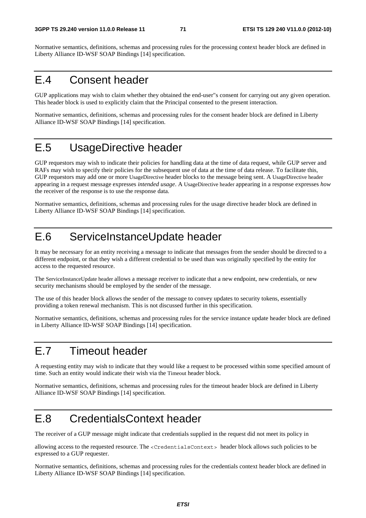Normative semantics, definitions, schemas and processing rules for the processing context header block are defined in Liberty Alliance ID-WSF SOAP Bindings [14] specification.

# E.4 Consent header

GUP applications may wish to claim whether they obtained the end-user"s consent for carrying out any given operation. This header block is used to explicitly claim that the Principal consented to the present interaction.

Normative semantics, definitions, schemas and processing rules for the consent header block are defined in Liberty Alliance ID-WSF SOAP Bindings [14] specification.

# E.5 UsageDirective header

GUP requestors may wish to indicate their policies for handling data at the time of data request, while GUP server and RAFs may wish to specify their policies for the subsequent use of data at the time of data release. To facilitate this, GUP requestors may add one or more UsageDirective header blocks to the message being sent. A UsageDirective header appearing in a request message expresses *intended usage*. A UsageDirective header appearing in a response expresses *how*  the receiver of the response is to use the response data.

Normative semantics, definitions, schemas and processing rules for the usage directive header block are defined in Liberty Alliance ID-WSF SOAP Bindings [14] specification.

# E.6 ServiceInstanceUpdate header

It may be necessary for an entity receiving a message to indicate that messages from the sender should be directed to a different endpoint, or that they wish a different credential to be used than was originally specified by the entity for access to the requested resource.

The ServiceInstanceUpdate header allows a message receiver to indicate that a new endpoint, new credentials, or new security mechanisms should be employed by the sender of the message.

The use of this header block allows the sender of the message to convey updates to security tokens, essentially providing a token renewal mechanism. This is not discussed further in this specification.

Normative semantics, definitions, schemas and processing rules for the service instance update header block are defined in Liberty Alliance ID-WSF SOAP Bindings [14] specification.

# E.7 Timeout header

A requesting entity may wish to indicate that they would like a request to be processed within some specified amount of time. Such an entity would indicate their wish via the Timeout header block.

Normative semantics, definitions, schemas and processing rules for the timeout header block are defined in Liberty Alliance ID-WSF SOAP Bindings [14] specification.

# E.8 CredentialsContext header

The receiver of a GUP message might indicate that credentials supplied in the request did not meet its policy in

allowing access to the requested resource. The <CredentialsContext> header block allows such policies to be expressed to a GUP requester.

Normative semantics, definitions, schemas and processing rules for the credentials context header block are defined in Liberty Alliance ID-WSF SOAP Bindings [14] specification.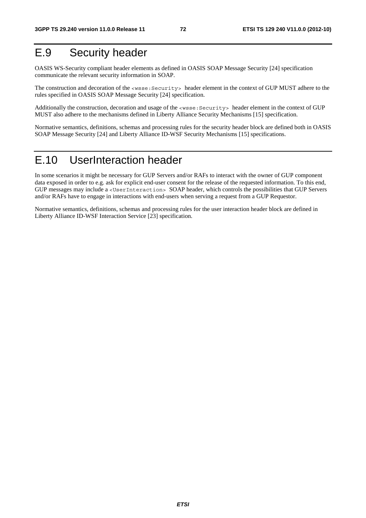## E.9 Security header

OASIS WS-Security compliant header elements as defined in OASIS SOAP Message Security [24] specification communicate the relevant security information in SOAP.

The construction and decoration of the <wsse:Security> header element in the context of GUP MUST adhere to the rules specified in OASIS SOAP Message Security [24] specification.

Additionally the construction, decoration and usage of the <wsse:Security> header element in the context of GUP MUST also adhere to the mechanisms defined in Liberty Alliance Security Mechanisms [15] specification.

Normative semantics, definitions, schemas and processing rules for the security header block are defined both in OASIS SOAP Message Security [24] and Liberty Alliance ID-WSF Security Mechanisms [15] specifications.

## E.10 UserInteraction header

In some scenarios it might be necessary for GUP Servers and/or RAFs to interact with the owner of GUP component data exposed in order to e.g. ask for explicit end-user consent for the release of the requested information. To this end, GUP messages may include a <UserInteraction> SOAP header, which controls the possibilities that GUP Servers and/or RAFs have to engage in interactions with end-users when serving a request from a GUP Requestor.

Normative semantics, definitions, schemas and processing rules for the user interaction header block are defined in Liberty Alliance ID-WSF Interaction Service [23] specification.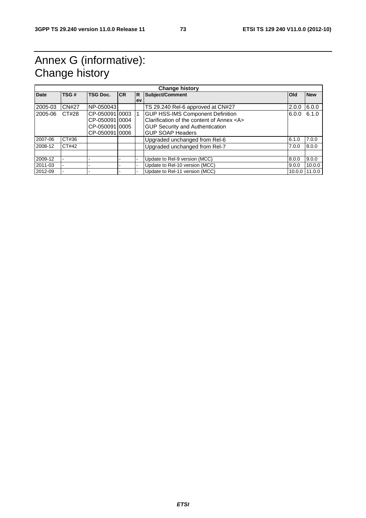## Annex G (informative): Change history

| <b>Date</b> | TSG#         | <b>TSG Doc.</b> | <b>CR</b> | l R       | Subject/Comment                               | <b>Old</b> | <b>New</b> |
|-------------|--------------|-----------------|-----------|-----------|-----------------------------------------------|------------|------------|
|             |              |                 |           | <b>ev</b> |                                               |            |            |
| 2005-03     | <b>CN#27</b> | NP-050043       |           |           | TS 29.240 Rel-6 approved at CN#27             | 2.0.0      | 6.0.0      |
| 2005-06     | CT#28        | CP-05009110003  |           |           | <b>GUP HSS-IMS Component Definition</b>       | 6.0.0      | 6.1.0      |
|             |              | CP-05009110004  |           |           | Clarification of the content of Annex <a></a> |            |            |
|             |              | CP-05009110005  |           |           | <b>GUP Security and Authentication</b>        |            |            |
|             |              | CP-05009110006  |           |           | <b>GUP SOAP Headers</b>                       |            |            |
| 2007-06     | CT#36        |                 |           |           | Upgraded unchanged from Rel-6                 | 6.1.0      | 7.0.0      |
| 2008-12     | CT#42        |                 |           |           | Upgraded unchanged from Rel-7                 | 7.0.0      | 8.0.0      |
|             |              |                 |           |           |                                               |            |            |
| 2009-12     |              |                 |           |           | Update to Rel-9 version (MCC)                 | 8.0.0      | 9.0.0      |
| 2011-03     |              |                 |           |           | Update to Rel-10 version (MCC)                | 9.0.0      | 10.0.0     |
| 2012-09     |              |                 |           |           | Update to Rel-11 version (MCC)                | 10.0.0     | 11.0.0     |